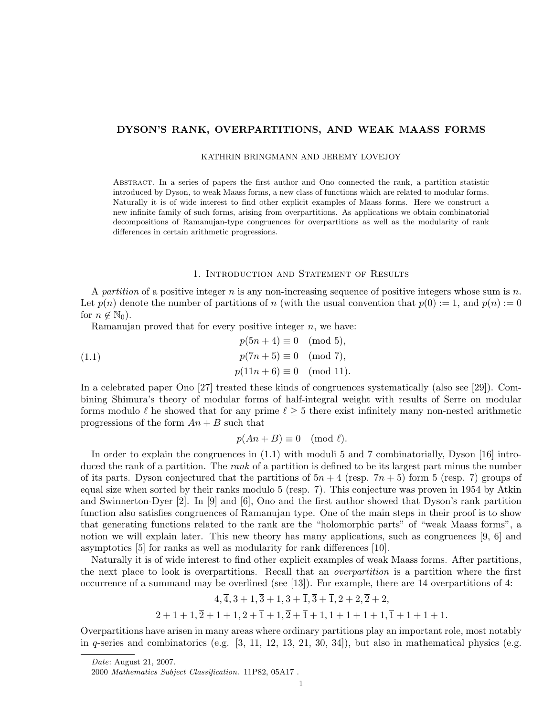## DYSON'S RANK, OVERPARTITIONS, AND WEAK MAASS FORMS

KATHRIN BRINGMANN AND JEREMY LOVEJOY

Abstract. In a series of papers the first author and Ono connected the rank, a partition statistic introduced by Dyson, to weak Maass forms, a new class of functions which are related to modular forms. Naturally it is of wide interest to find other explicit examples of Maass forms. Here we construct a new infinite family of such forms, arising from overpartitions. As applications we obtain combinatorial decompositions of Ramanujan-type congruences for overpartitions as well as the modularity of rank differences in certain arithmetic progressions.

## 1. Introduction and Statement of Results

A partition of a positive integer n is any non-increasing sequence of positive integers whose sum is  $n$ . Let  $p(n)$  denote the number of partitions of n (with the usual convention that  $p(0) := 1$ , and  $p(n) := 0$ for  $n \notin \mathbb{N}_0$ .

Ramanujan proved that for every positive integer  $n$ , we have:

(1.1) 
$$
p(5n + 4) \equiv 0 \pmod{5},
$$

$$
p(7n + 5) \equiv 0 \pmod{7},
$$

$$
p(11n + 6) \equiv 0 \pmod{11}.
$$

In a celebrated paper Ono [27] treated these kinds of congruences systematically (also see [29]). Combining Shimura's theory of modular forms of half-integral weight with results of Serre on modular forms modulo  $\ell$  he showed that for any prime  $\ell \geq 5$  there exist infinitely many non-nested arithmetic progressions of the form  $An + B$  such that

$$
p(An + B) \equiv 0 \pmod{\ell}.
$$

In order to explain the congruences in (1.1) with moduli 5 and 7 combinatorially, Dyson [16] introduced the rank of a partition. The rank of a partition is defined to be its largest part minus the number of its parts. Dyson conjectured that the partitions of  $5n + 4$  (resp.  $7n + 5$ ) form 5 (resp. 7) groups of equal size when sorted by their ranks modulo 5 (resp. 7). This conjecture was proven in 1954 by Atkin and Swinnerton-Dyer [2]. In [9] and [6], Ono and the first author showed that Dyson's rank partition function also satisfies congruences of Ramanujan type. One of the main steps in their proof is to show that generating functions related to the rank are the "holomorphic parts" of "weak Maass forms", a notion we will explain later. This new theory has many applications, such as congruences [9, 6] and asymptotics [5] for ranks as well as modularity for rank differences [10].

Naturally it is of wide interest to find other explicit examples of weak Maass forms. After partitions, the next place to look is overpartitions. Recall that an *overpartition* is a partition where the first occurrence of a summand may be overlined (see [13]). For example, there are 14 overpartitions of 4:

$$
4, \overline{4}, 3+1, \overline{3}+1, 3+\overline{1}, \overline{3}+\overline{1}, 2+2, \overline{2}+2,
$$
  

$$
2+1+1, \overline{2}+1+1, 2+\overline{1}+1, \overline{2}+\overline{1}+1, 1+1+1+1, \overline{1}+1+1+1.
$$

Overpartitions have arisen in many areas where ordinary partitions play an important role, most notably in q-series and combinatorics (e.g.  $[3, 11, 12, 13, 21, 30, 34]$ ), but also in mathematical physics (e.g.

Date: August 21, 2007.

<sup>2000</sup> Mathematics Subject Classification. 11P82, 05A17 .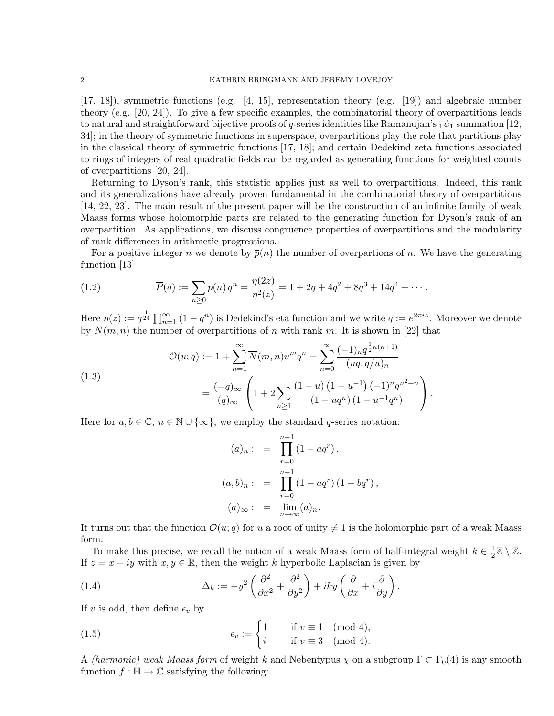[17, 18]), symmetric functions (e.g. [4, 15], representation theory (e.g. [19]) and algebraic number theory (e.g. [20, 24]). To give a few specific examples, the combinatorial theory of overpartitions leads to natural and straightforward bijective proofs of q-series identities like Ramanujan's  $_1\psi_1$  summation [12, 34]; in the theory of symmetric functions in superspace, overpartitions play the role that partitions play in the classical theory of symmetric functions [17, 18]; and certain Dedekind zeta functions associated to rings of integers of real quadratic fields can be regarded as generating functions for weighted counts of overpartitions [20, 24].

Returning to Dyson's rank, this statistic applies just as well to overpartitions. Indeed, this rank and its generalizations have already proven fundamental in the combinatorial theory of overpartitions [14, 22, 23]. The main result of the present paper will be the construction of an infinite family of weak Maass forms whose holomorphic parts are related to the generating function for Dyson's rank of an overpartition. As applications, we discuss congruence properties of overpartitions and the modularity of rank differences in arithmetic progressions.

For a positive integer n we denote by  $\bar{p}(n)$  the number of overpartions of n. We have the generating function [13]

(1.2) 
$$
\overline{P}(q) := \sum_{n\geq 0} \overline{p}(n) q^n = \frac{\eta(2z)}{\eta^2(z)} = 1 + 2q + 4q^2 + 8q^3 + 14q^4 + \cdots
$$

Here  $\eta(z) := q^{\frac{1}{24}} \prod_{n=1}^{\infty} (1 - q^n)$  is Dedekind's eta function and we write  $q := e^{2\pi i z}$ . Moreover we denote by  $\overline{N}(m, n)$  the number of overpartitions of n with rank m. It is shown in [22] that

(1.3)  

$$
\mathcal{O}(u;q) := 1 + \sum_{n=1}^{\infty} \overline{N}(m,n)u^m q^n = \sum_{n=0}^{\infty} \frac{(-1)_n q^{\frac{1}{2}n(n+1)}}{(uq,q/u)_n}
$$

$$
= \frac{(-q)_{\infty}}{(q)_{\infty}} \left(1 + 2 \sum_{n \geq 1} \frac{(1-u)(1-u^{-1})(-1)^n q^{n^2+n}}{(1-uq^n)(1-u^{-1}q^n)}\right).
$$

Here for  $a, b \in \mathbb{C}$ ,  $n \in \mathbb{N} \cup \{\infty\}$ , we employ the standard q-series notation:

$$
(a)_n: = \prod_{r=0}^{n-1} (1 - aq^r),
$$
  

$$
(a, b)_n: = \prod_{r=0}^{n-1} (1 - aq^r) (1 - bq^r),
$$
  

$$
(a)_{\infty}: = \lim_{n \to \infty} (a)_n.
$$

It turns out that the function  $\mathcal{O}(u; q)$  for u a root of unity  $\neq 1$  is the holomorphic part of a weak Maass form.

To make this precise, we recall the notion of a weak Maass form of half-integral weight  $k \in \frac{1}{2}$  $\frac{1}{2}\mathbb{Z}\setminus\mathbb{Z}$ . If  $z = x + iy$  with  $x, y \in \mathbb{R}$ , then the weight k hyperbolic Laplacian is given by

(1.4) 
$$
\Delta_k := -y^2 \left( \frac{\partial^2}{\partial x^2} + \frac{\partial^2}{\partial y^2} \right) + iky \left( \frac{\partial}{\partial x} + i \frac{\partial}{\partial y} \right).
$$

If v is odd, then define  $\epsilon_v$  by

(1.5) 
$$
\epsilon_v := \begin{cases} 1 & \text{if } v \equiv 1 \pmod{4}, \\ i & \text{if } v \equiv 3 \pmod{4}. \end{cases}
$$

A (harmonic) weak Maass form of weight k and Nebentypus  $\chi$  on a subgroup  $\Gamma \subset \Gamma_0(4)$  is any smooth function  $f : \mathbb{H} \to \mathbb{C}$  satisfying the following: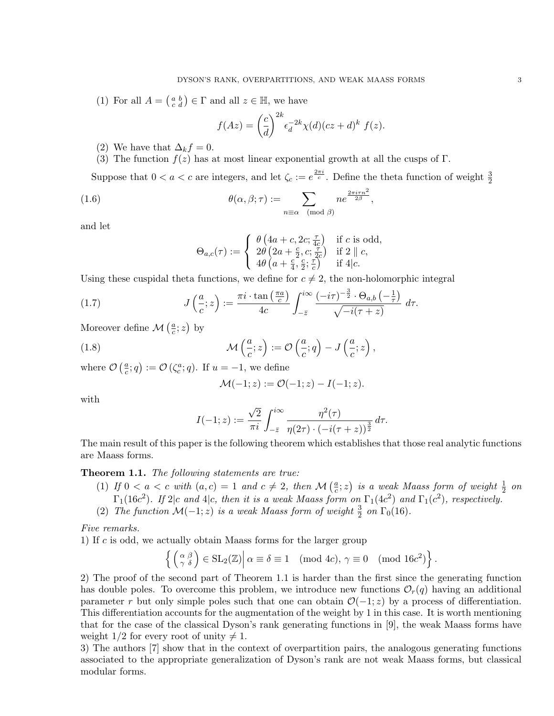(1) For all  $A = \begin{pmatrix} a & b \\ c & d \end{pmatrix} \in \Gamma$  and all  $z \in \mathbb{H}$ , we have

$$
f(Az) = \left(\frac{c}{d}\right)^{2k} \epsilon_d^{-2k} \chi(d) (cz+d)^k f(z).
$$

- (2) We have that  $\Delta_k f = 0$ .
- (3) The function  $f(z)$  has at most linear exponential growth at all the cusps of Γ.

Suppose that  $0 < a < c$  are integers, and let  $\zeta_c := e^{\frac{2\pi i}{c}}$ . Define the theta function of weight  $\frac{3}{2}$ 

(1.6) 
$$
\theta(\alpha, \beta; \tau) := \sum_{n \equiv \alpha \pmod{\beta}} n e^{\frac{2\pi i \tau n^2}{2\beta}},
$$

and let

$$
\Theta_{a,c}(\tau) := \begin{cases} \n\theta \left( 4a + c, 2c; \frac{\tau}{4c} \right) & \text{if } c \text{ is odd,} \\ \n2\theta \left( 2a + \frac{c}{2}, c; \frac{\tau}{2c} \right) & \text{if } 2 \parallel c, \\ \n4\theta \left( a + \frac{c}{4}, \frac{c}{2}; \frac{\tau}{c} \right) & \text{if } 4 \mid c. \n\end{cases}
$$

Using these cuspidal theta functions, we define for  $c \neq 2$ , the non-holomorphic integral

(1.7) 
$$
J\left(\frac{a}{c};z\right) := \frac{\pi i \cdot \tan\left(\frac{\pi a}{c}\right)}{4c} \int_{-\bar{z}}^{i\infty} \frac{(-i\tau)^{-\frac{3}{2}} \cdot \Theta_{a,b}\left(-\frac{1}{\tau}\right)}{\sqrt{-i(\tau+z)}} d\tau.
$$

Moreover define  $\mathcal{M}\left(\frac{a}{c}\right)$  $\frac{a}{c}$ ; z) by

(1.8) 
$$
\mathcal{M}\left(\frac{a}{c};z\right) := \mathcal{O}\left(\frac{a}{c};q\right) - J\left(\frac{a}{c};z\right),
$$

where  $\mathcal{O}\left(\frac{a}{c}\right)$  $(\frac{a}{c}; q) := \mathcal{O}\left(\zeta_c^a; q\right)$ . If  $u = -1$ , we define

$$
\mathcal{M}(-1; z) := \mathcal{O}(-1; z) - I(-1; z).
$$

with

$$
I(-1; z) := \frac{\sqrt{2}}{\pi i} \int_{-\bar{z}}^{i\infty} \frac{\eta^2(\tau)}{\eta(2\tau) \cdot (-i(\tau + z))^{\frac{3}{2}}} d\tau.
$$

The main result of this paper is the following theorem which establishes that those real analytic functions are Maass forms.

# Theorem 1.1. The following statements are true:

- (1) If  $0 < a < c$  with  $(a, c) = 1$  and  $c \neq 2$ , then  $\mathcal{M}(\frac{a}{c})$  $\left(\frac{a}{c};z\right)$  is a weak Maass form of weight  $\frac{1}{2}$  on  $\Gamma_1(16c^2)$ . If  $2|c$  and  $4|c$ , then it is a weak Maass form on  $\Gamma_1(4c^2)$  and  $\Gamma_1(c^2)$ , respectively.
- (2) The function  $\mathcal{M}(-1; z)$  is a weak Maass form of weight  $\frac{3}{2}$  on  $\Gamma_0(16)$ .

Five remarks.

1) If c is odd, we actually obtain Maass forms for the larger group

$$
\left\{ \left( \begin{array}{c} \alpha & \beta \\ \gamma & \delta \end{array} \right) \in SL_2(\mathbb{Z}) \middle| \alpha \equiv \delta \equiv 1 \pmod{4c}, \, \gamma \equiv 0 \pmod{16c^2} \right\}.
$$

2) The proof of the second part of Theorem 1.1 is harder than the first since the generating function has double poles. To overcome this problem, we introduce new functions  $\mathcal{O}_r(q)$  having an additional parameter r but only simple poles such that one can obtain  $\mathcal{O}(-1; z)$  by a process of differentiation. This differentiation accounts for the augmentation of the weight by 1 in this case. It is worth mentioning that for the case of the classical Dyson's rank generating functions in [9], the weak Maass forms have weight  $1/2$  for every root of unity  $\neq 1$ .

3) The authors [7] show that in the context of overpartition pairs, the analogous generating functions associated to the appropriate generalization of Dyson's rank are not weak Maass forms, but classical modular forms.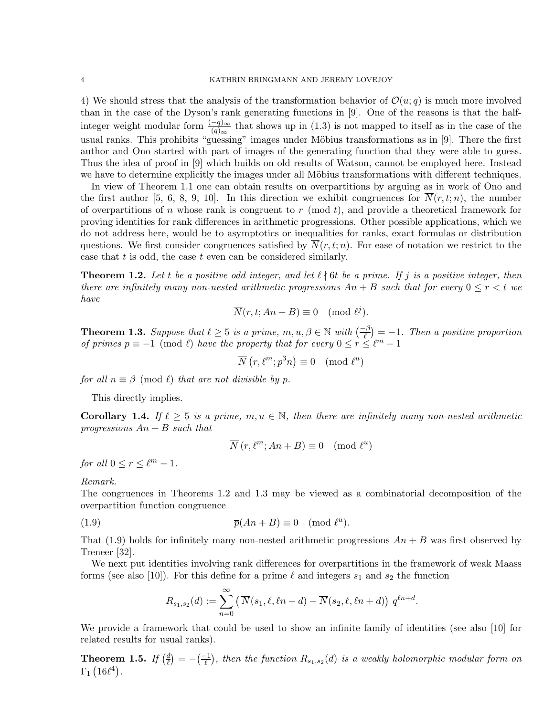4) We should stress that the analysis of the transformation behavior of  $\mathcal{O}(u; q)$  is much more involved than in the case of the Dyson's rank generating functions in [9]. One of the reasons is that the halfinteger weight modular form  $\frac{(-q)_{\infty}}{(q)_{\infty}}$  that shows up in (1.3) is not mapped to itself as in the case of the usual ranks. This prohibits "guessing" images under Möbius transformations as in [9]. There the first author and Ono started with part of images of the generating function that they were able to guess. Thus the idea of proof in [9] which builds on old results of Watson, cannot be employed here. Instead we have to determine explicitly the images under all Möbius transformations with different techniques.

In view of Theorem 1.1 one can obtain results on overpartitions by arguing as in work of Ono and the first author [5, 6, 8, 9, 10]. In this direction we exhibit congruences for  $\overline{N}(r, t; n)$ , the number of overpartitions of n whose rank is congruent to r (mod t), and provide a theoretical framework for proving identities for rank differences in arithmetic progressions. Other possible applications, which we do not address here, would be to asymptotics or inequalities for ranks, exact formulas or distribution questions. We first consider congruences satisfied by  $\overline{N}(r, t; n)$ . For ease of notation we restrict to the case that  $t$  is odd, the case  $t$  even can be considered similarly.

**Theorem 1.2.** Let t be a positive odd integer, and let  $\ell \nmid 6t$  be a prime. If j is a positive integer, then there are infinitely many non-nested arithmetic progressions  $An + B$  such that for every  $0 \le r < t$  we have

$$
\overline{N}(r, t; An + B) \equiv 0 \pmod{\ell^j}.
$$

**Theorem 1.3.** Suppose that  $\ell \geq 5$  is a prime,  $m, u, \beta \in \mathbb{N}$  with  $\left(\frac{-\beta}{\ell}\right) = -1$ . Then a positive proportion of primes  $p \equiv -1 \pmod{\ell}$  have the property that for every  $0 \le r \le \ell^m - 1$ 

$$
\overline{N}(r, \ell^m; p^3 n) \equiv 0 \pmod{\ell^u}
$$

for all  $n \equiv \beta \pmod{\ell}$  that are not divisible by p.

This directly implies.

**Corollary 1.4.** If  $\ell \geq 5$  is a prime,  $m, u \in \mathbb{N}$ , then there are infinitely many non-nested arithmetic progressions  $An + B$  such that

$$
\overline{N}(r, \ell^m; An + B) \equiv 0 \pmod{\ell^u}
$$

for all  $0 \le r \le \ell^m - 1$ .

Remark.

The congruences in Theorems 1.2 and 1.3 may be viewed as a combinatorial decomposition of the overpartition function congruence

(1.9) 
$$
\overline{p}(An+B) \equiv 0 \pmod{\ell^u}.
$$

That (1.9) holds for infinitely many non-nested arithmetic progressions  $An + B$  was first observed by Treneer [32].

We next put identities involving rank differences for overpartitions in the framework of weak Maass forms (see also [10]). For this define for a prime  $\ell$  and integers  $s_1$  and  $s_2$  the function

$$
R_{s_1, s_2}(d) := \sum_{n=0}^{\infty} \left( \overline{N}(s_1, \ell, \ell n + d) - \overline{N}(s_2, \ell, \ell n + d) \right) q^{\ell n + d}.
$$

We provide a framework that could be used to show an infinite family of identities (see also [10] for related results for usual ranks).

Theorem 1.5. If  $(\frac{d}{\ell})$  $\pi^d_{\ell}$ ) =  $-$ ( $\frac{-1}{\ell}$ ), then the function  $R_{s_1,s_2}(d)$  is a weakly holomorphic modular form on  $\Gamma_1$   $(16\ell^4)$ .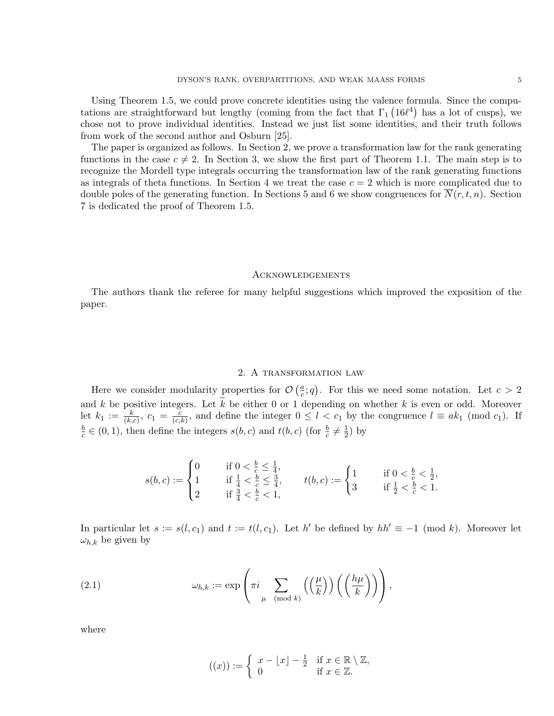Using Theorem 1.5, we could prove concrete identities using the valence formula. Since the computations are straightforward but lengthy (coming from the fact that  $\Gamma_1$  (16 $\ell^4$ ) has a lot of cusps), we chose not to prove individual identities. Instead we just list some identities, and their truth follows from work of the second author and Osburn [25].

The paper is organized as follows. In Section 2, we prove a transformation law for the rank generating functions in the case  $c \neq 2$ . In Section 3, we show the first part of Theorem 1.1. The main step is to recognize the Mordell type integrals occurring the transformation law of the rank generating functions as integrals of theta functions. In Section 4 we treat the case  $c = 2$  which is more complicated due to double poles of the generating function. In Sections 5 and 6 we show congruences for  $\overline{N}(r, t, n)$ . Section 7 is dedicated the proof of Theorem 1.5.

### **ACKNOWLEDGEMENTS**

The authors thank the referee for many helpful suggestions which improved the exposition of the paper.

# 2. A transformation law

Here we consider modularity properties for  $\mathcal{O}\left(\frac{a}{c}\right)$  $(\frac{a}{c}; q)$ . For this we need some notation. Let  $c > 2$ and  $k$  be positive integers. Let  $k$  be either 0 or 1 depending on whether  $k$  is even or odd. Moreover let  $k_1 := \frac{k}{(k,c)}, c_1 = \frac{c}{(c,s)}$  $\frac{c}{(c,k)}$ , and define the integer  $0 \leq l < c_1$  by the congruence  $l \equiv ak_1 \pmod{c_1}$ . If b  $\frac{b}{c} \in (0, 1)$ , then define the integers  $s(b, c)$  and  $t(b, c)$  (for  $\frac{b}{c} \neq \frac{1}{2}$ )  $(\frac{1}{2})$  by

$$
s(b,c) := \begin{cases} 0 & \text{if } 0 < \frac{b}{c} \le \frac{1}{4}, \\ 1 & \text{if } \frac{1}{4} < \frac{b}{c} \le \frac{3}{4}, \\ 2 & \text{if } \frac{3}{4} < \frac{b}{c} < 1, \end{cases} \qquad t(b,c) := \begin{cases} 1 & \text{if } 0 < \frac{b}{c} < \frac{1}{2}, \\ 3 & \text{if } \frac{1}{2} < \frac{b}{c} < 1. \end{cases}
$$

In particular let  $s := s(l, c_1)$  and  $t := t(l, c_1)$ . Let h' be defined by  $hh' \equiv -1 \pmod{k}$ . Moreover let  $\omega_{h,k}$  be given by

(2.1) 
$$
\omega_{h,k} := \exp\left(\pi i \sum_{\mu \pmod{k}} \left(\left(\frac{\mu}{k}\right)\right) \left(\left(\frac{h\mu}{k}\right)\right)\right),
$$

where

$$
((x)) := \begin{cases} x - \lfloor x \rfloor - \frac{1}{2} & \text{if } x \in \mathbb{R} \setminus \mathbb{Z}, \\ 0 & \text{if } x \in \mathbb{Z}. \end{cases}
$$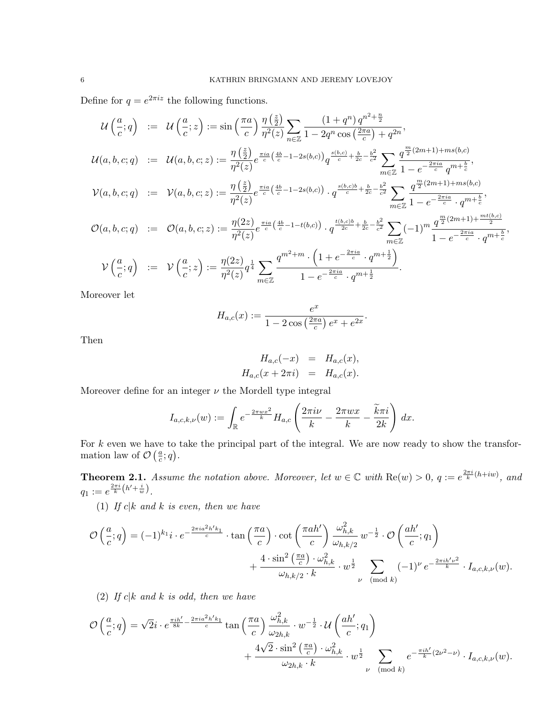Define for  $q = e^{2\pi i z}$  the following functions.

$$
\mathcal{U}\left(\frac{a}{c};q\right) := \mathcal{U}\left(\frac{a}{c};z\right) := \sin\left(\frac{\pi a}{c}\right) \frac{\eta\left(\frac{z}{2}\right)}{\eta^2(z)} \sum_{n\in\mathbb{Z}} \frac{(1+q^n) q^{n^2+\frac{n}{2}}}{1-2q^n \cos\left(\frac{2\pi a}{c}\right)+q^{2n}},
$$
\n
$$
\mathcal{U}(a,b,c;q) := \mathcal{U}(a,b,c;z) := \frac{\eta\left(\frac{z}{2}\right)}{\eta^2(z)} e^{\frac{\pi ia}{c}\left(\frac{4b}{c}-1-2s(b,c)\right)} q^{\frac{s(b,c)}{c}+\frac{b}{2c}-\frac{b^2}{c^2}} \sum_{m\in\mathbb{Z}} \frac{q^{\frac{m}{2}(2m+1)+ms(b,c)}}{1-e^{-\frac{2\pi ia}{c}}q^{m+\frac{b}{c}}},
$$
\n
$$
\mathcal{V}(a,b,c;q) := \mathcal{V}(a,b,c;z) := \frac{\eta\left(\frac{z}{2}\right)}{\eta^2(z)} e^{\frac{\pi ia}{c}\left(\frac{4b}{c}-1-2s(b,c)\right)} \cdot q^{\frac{s(b,c)b}{c}+\frac{b}{2c}-\frac{b^2}{c^2}} \sum_{m\in\mathbb{Z}} \frac{q^{\frac{m}{2}(2m+1)+ms(b,c)}}{1-e^{-\frac{2\pi ia}{c}} \cdot q^{m+\frac{b}{c}}},
$$
\n
$$
\mathcal{O}(a,b,c;q) := \mathcal{O}(a,b,c;z) := \frac{\eta(2z)}{\eta^2(z)} e^{\frac{\pi ia}{c}\left(\frac{4b}{c}-1-t(b,c)\right)} \cdot q^{\frac{t(b,c)b}{2c}+\frac{b}{2c}-\frac{b^2}{c^2}} \sum_{m\in\mathbb{Z}} (-1)^m \frac{q^{\frac{m}{2}(2m+1)+\frac{mt(b,c)}{2}}}{1-e^{-\frac{2\pi ia}{c}} \cdot q^{m+\frac{b}{c}}},
$$
\n
$$
\mathcal{V}\left(\frac{a}{c};q\right) := \mathcal{V}\left(\frac{a}{c};z\right) := \frac{\eta(2z)}{\eta^2(z)} q^{\frac{1}{4}} \sum_{m\in\mathbb{Z}} \frac{q^{m^2+m} \cdot \left(1+e^{-\frac{2\pi ia
$$

Moreover let

$$
H_{a,c}(x) := \frac{e^x}{1 - 2\cos\left(\frac{2\pi a}{c}\right)e^x + e^{2x}}
$$

Then

$$
H_{a,c}(-x) = H_{a,c}(x), H_{a,c}(x+2\pi i) = H_{a,c}(x).
$$

.

Moreover define for an integer  $\nu$  the Mordell type integral

$$
I_{a,c,k,\nu}(w) := \int_{\mathbb{R}} e^{-\frac{2\pi wx^2}{k}} H_{a,c} \left( \frac{2\pi i\nu}{k} - \frac{2\pi wx}{k} - \frac{\widetilde{k}\pi i}{2k} \right) dx.
$$

For  $k$  even we have to take the principal part of the integral. We are now ready to show the transformation law of  $\mathcal{O}\left(\frac{a}{c}\right)$  $\frac{a}{c}$ ; q).

**Theorem 2.1.** Assume the notation above. Moreover, let  $w \in \mathbb{C}$  with  $\text{Re}(w) > 0$ ,  $q := e^{\frac{2\pi i}{k}(h+iw)}$ , and  $q_1 := e^{\frac{2\pi i}{k} (h' + \frac{i}{w})}.$ 

(1) If  $c|k$  and k is even, then we have

$$
\mathcal{O}\left(\frac{a}{c};q\right) = (-1)^{k_1} i \cdot e^{-\frac{2\pi i a^2 h' k_1}{c}} \cdot \tan\left(\frac{\pi a}{c}\right) \cdot \cot\left(\frac{\pi a h'}{c}\right) \frac{\omega_{h,k}^2}{\omega_{h,k/2}} w^{-\frac{1}{2}} \cdot \mathcal{O}\left(\frac{ah'}{c};q_1\right) + \frac{4 \cdot \sin^2\left(\frac{\pi a}{c}\right) \cdot \omega_{h,k}^2}{\omega_{h,k/2} \cdot k} \cdot w^{\frac{1}{2}} \sum_{\nu \pmod{k}} (-1)^{\nu} e^{-\frac{2\pi i h' \nu^2}{k}} \cdot I_{a,c,k,\nu}(w).
$$

(2) If  $c|k$  and k is odd, then we have

$$
\mathcal{O}\left(\frac{a}{c};q\right) = \sqrt{2}i \cdot e^{\frac{\pi i h'}{8k} - \frac{2\pi i a^2 h' k_1}{c}} \tan\left(\frac{\pi a}{c}\right) \frac{\omega_{h,k}^2}{\omega_{2h,k}} \cdot w^{-\frac{1}{2}} \cdot \mathcal{U}\left(\frac{ah'}{c};q_1\right) + \frac{4\sqrt{2}\cdot\sin^2\left(\frac{\pi a}{c}\right)\cdot\omega_{h,k}^2}{\omega_{2h,k}\cdot k} \cdot w^{\frac{1}{2}} \sum_{\nu \pmod{k}} e^{-\frac{\pi i h'}{k}(2\nu^2 - \nu)} \cdot I_{a,c,k,\nu}(w).
$$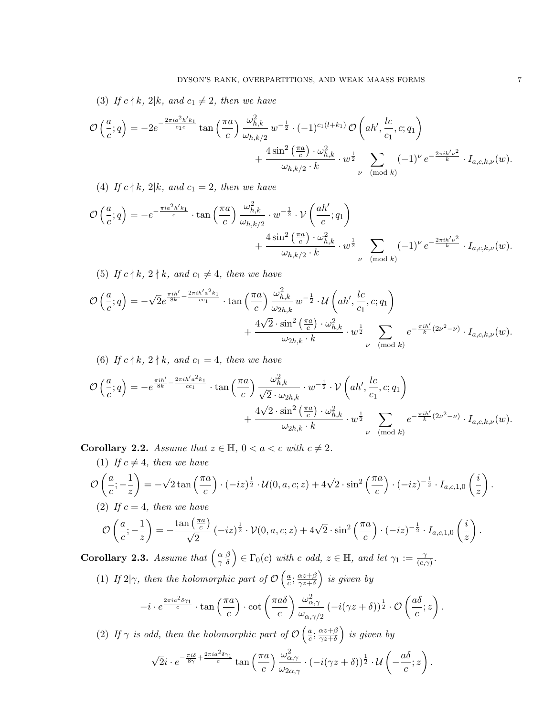(3) If  $c \nmid k$ ,  $2|k$ , and  $c_1 \neq 2$ , then we have

$$
\mathcal{O}\left(\frac{a}{c};q\right) = -2e^{-\frac{2\pi i a^2 h' k_1}{c_1 c}} \tan\left(\frac{\pi a}{c}\right) \frac{\omega_{h,k}^2}{\omega_{h,k/2}} w^{-\frac{1}{2}} \cdot (-1)^{c_1(l+k_1)} \mathcal{O}\left(ah',\frac{lc}{c_1},c;q_1\right) + \frac{4\sin^2\left(\frac{\pi a}{c}\right) \cdot \omega_{h,k}^2}{\omega_{h,k/2} \cdot k} \cdot w^{\frac{1}{2}} \sum_{\nu \pmod{k}} (-1)^{\nu} e^{-\frac{2\pi i h' \nu^2}{k}} \cdot I_{a,c,k,\nu}(w).
$$

(4) If  $c \nmid k$ ,  $2|k$ , and  $c_1 = 2$ , then we have

$$
\mathcal{O}\left(\frac{a}{c};q\right) = -e^{-\frac{\pi ia^2 h' k_1}{c}} \cdot \tan\left(\frac{\pi a}{c}\right) \frac{\omega_{h,k}^2}{\omega_{h,k/2}} \cdot w^{-\frac{1}{2}} \cdot \mathcal{V}\left(\frac{ah'}{c};q_1\right) + \frac{4\sin^2\left(\frac{\pi a}{c}\right) \cdot \omega_{h,k}^2}{\omega_{h,k/2} \cdot k} \cdot w^{\frac{1}{2}} \sum_{\nu \pmod{k}} (-1)^{\nu} e^{-\frac{2\pi i h' \nu^2}{k}} \cdot I_{a,c,k,\nu}(w).
$$

(5) If  $c \nmid k$ ,  $2 \nmid k$ , and  $c_1 \neq 4$ , then we have

$$
\mathcal{O}\left(\frac{a}{c};q\right) = -\sqrt{2}e^{\frac{\pi i h'}{8k} - \frac{2\pi i h' a^2 k_1}{cc_1}} \cdot \tan\left(\frac{\pi a}{c}\right) \frac{\omega_{h,k}^2}{\omega_{2h,k}} w^{-\frac{1}{2}} \cdot \mathcal{U}\left(ah',\frac{lc}{c_1},c;q_1\right) + \frac{4\sqrt{2}\cdot\sin^2\left(\frac{\pi a}{c}\right)\cdot\omega_{h,k}^2}{\omega_{2h,k}\cdot k} \cdot w^{\frac{1}{2}} \sum_{\nu \pmod{k}} e^{-\frac{\pi i h'}{k}(2\nu^2 - \nu)} \cdot I_{a,c,k,\nu}(w).
$$

(6) If 
$$
c \nmid k, 2 \nmid k
$$
, and  $c_1 = 4$ , then we have

$$
\mathcal{O}\left(\frac{a}{c};q\right) = -e^{\frac{\pi i h'}{8k} - \frac{2\pi i h' a^2 k_1}{cc_1}} \cdot \tan\left(\frac{\pi a}{c}\right) \frac{\omega_{h,k}^2}{\sqrt{2} \cdot \omega_{2h,k}} \cdot w^{-\frac{1}{2}} \cdot \mathcal{V}\left(ah',\frac{lc}{c_1},c;q_1\right) + \frac{4\sqrt{2} \cdot \sin^2\left(\frac{\pi a}{c}\right) \cdot \omega_{h,k}^2}{\omega_{2h,k} \cdot k} \cdot w^{\frac{1}{2}} \sum_{\nu \pmod{k}} e^{-\frac{\pi i h'}{k}(2\nu^2 - \nu)} \cdot I_{a,c,k,\nu}(w).
$$

Corollary 2.2. Assume that  $z \in \mathbb{H}$ ,  $0 < a < c$  with  $c \neq 2$ .  $(1)$  If  $\epsilon$   $(1 + t)$ 

(1) If 
$$
c \neq 4
$$
, then we have  
\n
$$
\mathcal{O}\left(\frac{a}{c}; -\frac{1}{z}\right) = -\sqrt{2} \tan\left(\frac{\pi a}{c}\right) \cdot (-iz)^{\frac{1}{2}} \cdot \mathcal{U}(0, a, c; z) + 4\sqrt{2} \cdot \sin^{2}\left(\frac{\pi a}{c}\right) \cdot (-iz)^{-\frac{1}{2}} \cdot I_{a, c, 1, 0}\left(\frac{i}{z}\right).
$$
\n(2) If  $c = 4$ , then we have  
\n
$$
\mathcal{O}\left(\frac{a}{c}; -\frac{1}{z}\right) = -\frac{\tan\left(\frac{\pi a}{c}\right)}{\sqrt{2}} \cdot (-iz)^{\frac{1}{2}} \cdot \mathcal{V}(0, a, c; z) + 4\sqrt{2} \cdot \sin^{2}\left(\frac{\pi a}{c}\right) \cdot (-iz)^{-\frac{1}{2}} \cdot I_{a, c, 1, 0}\left(\frac{i}{z}\right).
$$

**Corollary 2.3.** Assume that  $\begin{pmatrix} \alpha & \beta \\ \gamma & \delta \end{pmatrix} \in \Gamma_0(c)$  with c odd,  $z \in \mathbb{H}$ , and let  $\gamma_1 := \frac{\gamma}{(c, \gamma)}$  $\frac{\gamma}{(c,\gamma)}$  .

(1) If  $2|\gamma$ , then the holomorphic part of  $\mathcal{O}\left(\frac{a}{c}\right)$  $\frac{a}{c}; \frac{\alpha z + \beta}{\gamma z + \delta}$  $\frac{\alpha z+\beta}{\gamma z+\delta}\Big)$  is given by

$$
-i \cdot e^{\frac{2\pi i a^2 \delta \gamma_1}{c}} \cdot \tan\left(\frac{\pi a}{c}\right) \cdot \cot\left(\frac{\pi a \delta}{c}\right) \frac{\omega_{\alpha,\gamma}^2}{\omega_{\alpha,\gamma/2}} \left(-i(\gamma z + \delta)\right)^{\frac{1}{2}} \cdot \mathcal{O}\left(\frac{a\delta}{c};z\right).
$$

(2) If  $\gamma$  is odd, then the holomorphic part of  $\mathcal{O}\left(\frac{a}{c}\right)$  $\frac{a}{c}; \frac{\alpha z+\beta}{\gamma z+\delta}$  $\frac{\alpha z+\beta}{\gamma z+\delta}$ ) is given by

$$
\sqrt{2}i \cdot e^{-\frac{\pi i \delta}{8\gamma} + \frac{2\pi i a^2 \delta \gamma_1}{c}} \tan\left(\frac{\pi a}{c}\right) \frac{\omega_{\alpha,\gamma}^2}{\omega_{2\alpha,\gamma}} \cdot \left(-i(\gamma z + \delta)\right)^{\frac{1}{2}} \cdot \mathcal{U}\left(-\frac{a\delta}{c};z\right).
$$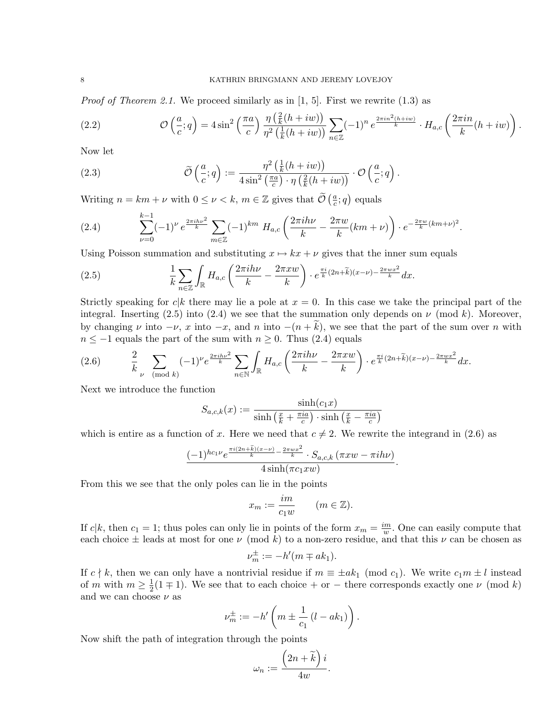*Proof of Theorem 2.1.* We proceed similarly as in [1, 5]. First we rewrite (1.3) as

(2.2) 
$$
\mathcal{O}\left(\frac{a}{c};q\right) = 4\sin^2\left(\frac{\pi a}{c}\right) \frac{\eta\left(\frac{2}{k}(h+iw)\right)}{\eta^2\left(\frac{1}{k}(h+iw)\right)} \sum_{n\in\mathbb{Z}} (-1)^n e^{\frac{2\pi i n^2(h+iw)}{k}} \cdot H_{a,c}\left(\frac{2\pi i n}{k}(h+iw)\right).
$$

Now let

(2.3) 
$$
\widetilde{\mathcal{O}}\left(\frac{a}{c};q\right) := \frac{\eta^2\left(\frac{1}{k}(h+iw)\right)}{4\sin^2\left(\frac{\pi a}{c}\right)\cdot\eta\left(\frac{2}{k}(h+iw)\right)} \cdot \mathcal{O}\left(\frac{a}{c};q\right).
$$

Writing  $n = km + \nu$  with  $0 \le \nu < k$ ,  $m \in \mathbb{Z}$  gives that  $\widetilde{\mathcal{O}}\left(\frac{a}{c}\right)$  $\frac{a}{c}$ ; *q*) equals

(2.4) 
$$
\sum_{\nu=0}^{k-1} (-1)^{\nu} e^{\frac{2\pi i h \nu^2}{k}} \sum_{m \in \mathbb{Z}} (-1)^{km} H_{a,c} \left( \frac{2\pi i h \nu}{k} - \frac{2\pi w}{k} (km + \nu) \right) \cdot e^{-\frac{2\pi w}{k} (km + \nu)^2}.
$$

Using Poisson summation and substituting  $x \mapsto kx + \nu$  gives that the inner sum equals

(2.5) 
$$
\frac{1}{k} \sum_{n \in \mathbb{Z}} \int_{\mathbb{R}} H_{a,c} \left( \frac{2\pi i h\nu}{k} - \frac{2\pi x w}{k} \right) \cdot e^{\frac{\pi i}{k} (2n + \widetilde{k})(x - \nu) - \frac{2\pi w x^2}{k}} dx.
$$

Strictly speaking for  $c|k$  there may lie a pole at  $x = 0$ . In this case we take the principal part of the integral. Inserting (2.5) into (2.4) we see that the summation only depends on  $\nu$  (mod k). Moreover, by changing  $\nu$  into  $-\nu$ , x into  $-x$ , and n into  $-(n+k)$ , we see that the part of the sum over n with  $n \le -1$  equals the part of the sum with  $n \ge 0$ . Thus (2.4) equals

$$
(2.6) \qquad \frac{2}{k} \sum_{\nu \pmod{k}} (-1)^{\nu} e^{\frac{2\pi i h \nu^{2}}{k}} \sum_{n \in \mathbb{N}} \int_{\mathbb{R}} H_{a,c} \left( \frac{2\pi i h \nu}{k} - \frac{2\pi x w}{k} \right) \cdot e^{\frac{\pi i}{k} (2n + \widetilde{k})(x - \nu) - \frac{2\pi w x^{2}}{k}} dx.
$$

Next we introduce the function

$$
S_{a,c,k}(x) := \frac{\sinh(c_1x)}{\sinh\left(\frac{x}{k} + \frac{\pi ia}{c}\right) \cdot \sinh\left(\frac{x}{k} - \frac{\pi ia}{c}\right)}
$$

which is entire as a function of x. Here we need that  $c \neq 2$ . We rewrite the integrand in (2.6) as

$$
\frac{(-1)^{hc_1\nu}e^{\frac{\pi i(2n+\widetilde{k})(x-\nu)}{k}-\frac{2\pi wx^2}{k}}\cdot S_{a,c,k}(\pi xw-\pi ih\nu)}{4\sinh(\pi c_1xw)}.
$$

From this we see that the only poles can lie in the points

$$
x_m := \frac{im}{c_1 w} \qquad (m \in \mathbb{Z}).
$$

If c|k, then  $c_1 = 1$ ; thus poles can only lie in points of the form  $x_m = \frac{im}{w}$  $\frac{m}{w}$ . One can easily compute that each choice  $\pm$  leads at most for one  $\nu \pmod{k}$  to a non-zero residue, and that this  $\nu$  can be chosen as

$$
\nu_m^{\pm} := -h'(m \mp ak_1).
$$

If  $c \nmid k$ , then we can only have a nontrivial residue if  $m \equiv \pm ak_1 \pmod{c_1}$ . We write  $c_1m \pm l$  instead of m with  $m \geq \frac{1}{2}$  $\frac{1}{2}(1 \mp 1)$ . We see that to each choice + or - there corresponds exactly one  $\nu$  (mod k) and we can choose  $\nu$  as

$$
\nu_m^{\pm} := -h' \left( m \pm \frac{1}{c_1} (l - ak_1) \right).
$$

Now shift the path of integration through the points

$$
\omega_n := \frac{\left(2n + \widetilde{k}\right)i}{4w}.
$$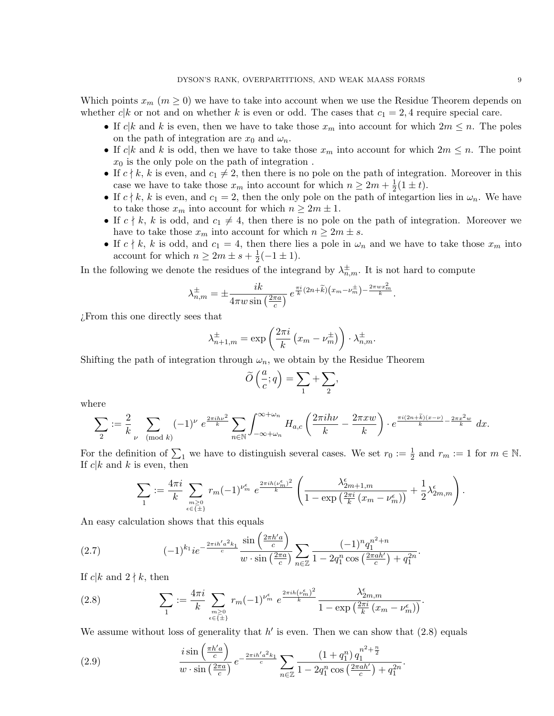Which points  $x_m$  ( $m \geq 0$ ) we have to take into account when we use the Residue Theorem depends on whether  $c|k$  or not and on whether k is even or odd. The cases that  $c_1 = 2, 4$  require special care.

- If  $c|k$  and k is even, then we have to take those  $x_m$  into account for which  $2m \leq n$ . The poles on the path of integration are  $x_0$  and  $\omega_n$ .
- If  $c|k$  and k is odd, then we have to take those  $x_m$  into account for which  $2m \leq n$ . The point  $x_0$  is the only pole on the path of integration.
- If  $c \nmid k$ , k is even, and  $c_1 \neq 2$ , then there is no pole on the path of integration. Moreover in this case we have to take those  $x_m$  into account for which  $n \geq 2m + \frac{1}{2}$  $rac{1}{2}(1 \pm t).$
- If  $c \nmid k$ , k is even, and  $c_1 = 2$ , then the only pole on the path of integartion lies in  $\omega_n$ . We have to take those  $x_m$  into account for which  $n \geq 2m \pm 1$ .
- If  $c \nmid k$ , k is odd, and  $c_1 \neq 4$ , then there is no pole on the path of integration. Moreover we have to take those  $x_m$  into account for which  $n \geq 2m \pm s$ .
- If  $c \nmid k$ , k is odd, and  $c_1 = 4$ , then there lies a pole in  $\omega_n$  and we have to take those  $x_m$  into account for which  $n \geq 2m \pm s + \frac{1}{2}$  $\frac{1}{2}(-1 \pm 1).$

In the following we denote the residues of the integrand by  $\lambda_{n,m}^{\pm}$ . It is not hard to compute

$$
\lambda_{n,m}^{\pm} = \pm \frac{ik}{4\pi w \sin\left(\frac{2\pi a}{c}\right)} e^{\frac{\pi i}{k}(2n+\widetilde{k})\left(x_m - \nu_m^{\pm}\right) - \frac{2\pi w x_m^2}{k}}.
$$

¿From this one directly sees that

$$
\lambda_{n+1,m}^{\pm} = \exp\left(\frac{2\pi i}{k} \left(x_m - \nu_m^{\pm}\right)\right) \cdot \lambda_{n,m}^{\pm}.
$$

Shifting the path of integration through  $\omega_n$ , we obtain by the Residue Theorem

$$
\widetilde{O}\left(\frac{a}{c};q\right) = \sum_{1} + \sum_{2},
$$

where

$$
\sum_{2} := \frac{2}{k} \sum_{\nu \pmod{k}} (-1)^{\nu} e^{\frac{2\pi i h \nu^{2}}{k}} \sum_{n \in \mathbb{N}} \int_{-\infty + \omega_{n}}^{\infty + \omega_{n}} H_{a,c} \left( \frac{2\pi i h \nu}{k} - \frac{2\pi x w}{k} \right) \cdot e^{\frac{\pi i (2n + \tilde{k})(x - \nu)}{k} - \frac{2\pi x^{2} w}{k}} dx.
$$

For the definition of  $\sum_1$  we have to distinguish several cases. We set  $r_0 := \frac{1}{2}$  and  $r_m := 1$  for  $m \in \mathbb{N}$ . If  $c|k$  and k is even, then

$$
\sum_{1} := \frac{4\pi i}{k} \sum_{\substack{m \geq 0 \\ \epsilon \in \{\pm\}}} r_m (-1)^{\nu_m^{\epsilon}} e^{\frac{2\pi i h (\nu_m^{\epsilon})^2}{k}} \left( \frac{\lambda_{2m+1,m}^{\epsilon}}{1 - \exp\left(\frac{2\pi i}{k} (x_m - \nu_m^{\epsilon})\right)} + \frac{1}{2} \lambda_{2m,m}^{\epsilon} \right)
$$

An easy calculation shows that this equals

$$
(2.7) \qquad (-1)^{k_1} i e^{-\frac{2\pi i h' a^2 k_1}{c}} \frac{\sin\left(\frac{2\pi h' a}{c}\right)}{w \cdot \sin\left(\frac{2\pi a}{c}\right)} \sum_{n \in \mathbb{Z}} \frac{(-1)^n q_1^{n^2 + n}}{1 - 2q_1^n \cos\left(\frac{2\pi a h'}{c}\right) + q_1^{2n}}.
$$

If  $c|k$  and  $2 \nmid k$ , then

(2.8) 
$$
\sum_{1} := \frac{4\pi i}{k} \sum_{\substack{m \geq 0 \\ \epsilon \in \{\pm\}}} r_m (-1)^{\nu_m^{\epsilon}} e^{\frac{2\pi i h (\nu_m^{\epsilon})^2}{k}} \frac{\lambda_{2m,m}^{\epsilon}}{1 - \exp\left(\frac{2\pi i}{k} (x_m - \nu_m^{\epsilon})\right)}.
$$

We assume without loss of generality that  $h'$  is even. Then we can show that  $(2.8)$  equals

(2.9) 
$$
\frac{i \sin\left(\frac{\pi h'a}{c}\right)}{w \cdot \sin\left(\frac{2\pi a}{c}\right)} e^{-\frac{2\pi i h'a^2 k_1}{c}} \sum_{n \in \mathbb{Z}} \frac{\left(1 + q_1^n\right) q_1^{n^2 + \frac{n}{2}}}{1 - 2q_1^n \cos\left(\frac{2\pi a h'}{c}\right) + q_1^{2n}}.
$$

.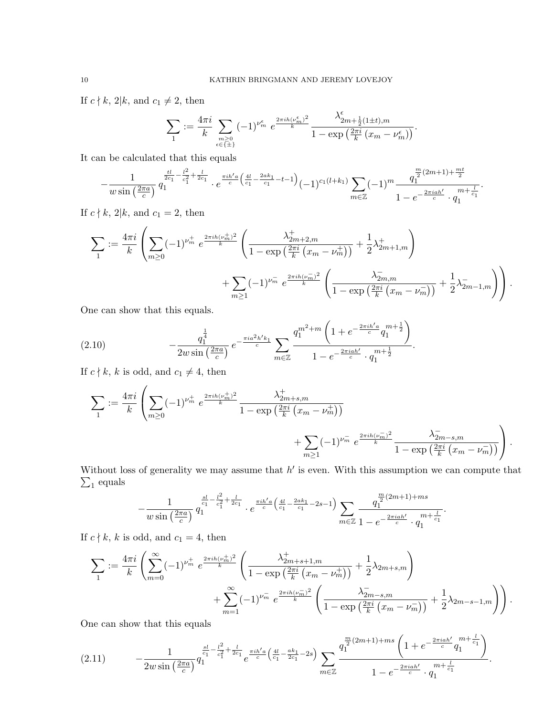If  $c \nmid k$ , 2|k, and  $c_1 \neq 2$ , then

$$
\sum_1 := \frac{4\pi i}{k} \sum_{\substack{m \geq 0 \\ \epsilon \in \{\pm\}}} (-1)^{\nu_m^{\epsilon}} e^{\frac{2\pi i h(\nu_m^{\epsilon})^2}{k}} \frac{\lambda_{2m+\frac{1}{2}(1\pm t),m}^{\epsilon}}{1 - \exp\left(\frac{2\pi i}{k} \left(x_m - \nu_m^{\epsilon}\right)\right)}.
$$

It can be calculated that this equals

$$
-\frac{1}{w\sin\left(\frac{2\pi a}{c}\right)}\frac{\frac{tl}{2c_1}-\frac{l^2}{c_1^2}+\frac{l}{2c_1}}{q_1}\cdot e^{\frac{\pi i h'a}{c}\left(\frac{4l}{c_1}-\frac{2ak_1}{c_1}-t-1\right)}(-1)^{c_1(l+k_1)}\sum_{m\in\mathbb{Z}}(-1)^m\frac{q_1^{\frac{m}{2}(2m+1)+\frac{mt}{2}}}{1-e^{-\frac{2\pi i a h'}{c}}\cdot q_1^{\frac{m}{2}+\frac{l}{c_1}}}.
$$

If  $c \nmid k$ , 2|k, and  $c_1 = 2$ , then

$$
\sum_{1} := \frac{4\pi i}{k} \left( \sum_{m\geq 0} (-1)^{\nu_m^+} e^{\frac{2\pi i h (\nu_m^+)^2}{k}} \left( \frac{\lambda_{2m+2,m}^+}{1 - \exp\left(\frac{2\pi i}{k} (x_m - \nu_m^+) \right)} + \frac{1}{2} \lambda_{2m+1,m}^+ \right) + \sum_{m\geq 1} (-1)^{\nu_m^-} e^{\frac{2\pi i h (\nu_m^-)^2}{k}} \left( \frac{\lambda_{2m,m}^-}{1 - \exp\left(\frac{2\pi i}{k} (x_m - \nu_m^+) \right)} + \frac{1}{2} \lambda_{2m-1,m}^- \right) \right).
$$

One can show that this equals.

(2.10) 
$$
-\frac{q_1^{\frac{1}{4}}}{2w\sin\left(\frac{2\pi a}{c}\right)}e^{-\frac{\pi i a^2 h' k_1}{c}}\sum_{m\in\mathbb{Z}}\frac{q_1^{m^2+m}\left(1+e^{-\frac{2\pi i h'a}{c}}q_1^{m+\frac{1}{2}}\right)}{1-e^{-\frac{2\pi i a h'}{c}}\cdot q_1^{m+\frac{1}{2}}}.
$$

If  $c \nmid k, \, k$  is odd, and  $c_1 \neq 4,$  then

$$
\sum_{1} := \frac{4\pi i}{k} \left( \sum_{m \ge 0} (-1)^{\nu_m^+} e^{\frac{2\pi i h (\nu_m^+)^2}{k}} \frac{\lambda_{2m+s,m}^+}{1 - \exp\left(\frac{2\pi i}{k} (x_m - \nu_m^+) \right)} + \sum_{m \ge 1} (-1)^{\nu_m^-} e^{\frac{2\pi i h (\nu_m^-)^2}{k}} \frac{\lambda_{2m-s,m}^-}{1 - \exp\left(\frac{2\pi i}{k} (x_m - \nu_m^-) \right)} \right).
$$

Without loss of generality we may assume that  $h'$  is even. With this assumption we can compute that  $\sum_1$  equals

$$
-\frac{1}{w\sin\left(\frac{2\pi a}{c}\right)}\frac{\frac{sl}{c_1}-\frac{l^2}{c_1^2}+\frac{l}{2c_1}}{q_1}\cdot e^{\frac{\pi i h'a}{c}\left(\frac{4l}{c_1}-\frac{2ak_1}{c_1}-2s-1\right)}\sum_{m\in\mathbb{Z}}\frac{q_1^{\frac{m}{2}(2m+1)+ms}}{1-e^{-\frac{2\pi i a h'}{c}}\cdot q_1^{\frac{m}{2}+1}}.
$$

If  $c \nmid k$ , k is odd, and  $c_1 = 4$ , then

$$
\sum_{1} := \frac{4\pi i}{k} \left( \sum_{m=0}^{\infty} (-1)^{\nu_m^+} e^{\frac{2\pi i h (\nu_m^+)^2}{k}} \left( \frac{\lambda_{2m+s+1,m}^+}{1 - \exp\left(\frac{2\pi i}{k} (x_m - \nu_m^+) \right)} + \frac{1}{2} \lambda_{2m+s,m} \right) + \sum_{m=1}^{\infty} (-1)^{\nu_m^-} e^{\frac{2\pi i h (\nu_m^-)^2}{k}} \left( \frac{\lambda_{2m-s,m}^-}{1 - \exp\left(\frac{2\pi i}{k} (x_m - \nu_m^-)\right)} + \frac{1}{2} \lambda_{2m-s-1,m} \right) \right).
$$

One can show that this equals

$$
(2.11) \qquad -\frac{1}{2w\sin\left(\frac{2\pi a}{c}\right)}q_1^{\frac{sl}{c_1}-\frac{l^2}{c_1^2}+\frac{l}{2c_1}}e^{\frac{\pi i h'a}{c}\left(\frac{4l}{c_1}-\frac{ak_1}{2c_1}-2s\right)}\sum_{m\in\mathbb{Z}}\frac{q_1^{\frac{m}{2}(2m+1)+ms}\left(1+e^{-\frac{2\pi iah'}{c}}q_1^{m+\frac{l}{c_1}}\right)}{1-e^{-\frac{2\pi iah'}{c}}\cdot q_1^{m+\frac{l}{c_1}}}.
$$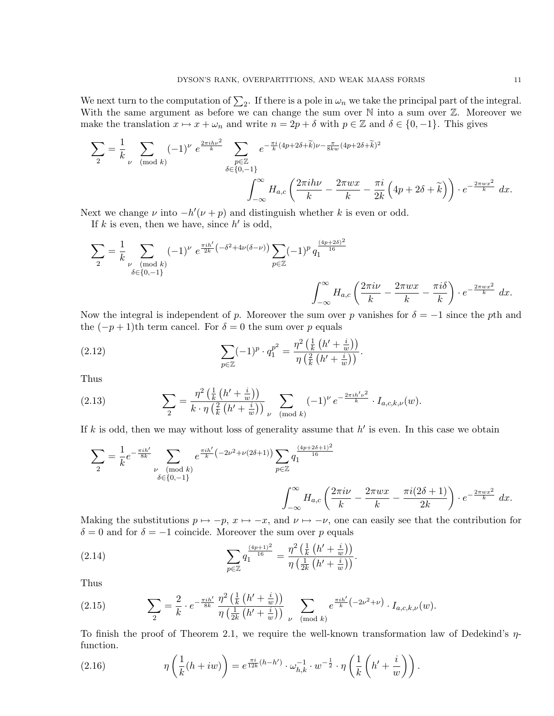We next turn to the computation of  $\sum_2$ . If there is a pole in  $\omega_n$  we take the principal part of the integral. With the same argument as before we can change the sum over  $\mathbb N$  into a sum over  $\mathbb Z$ . Moreover we make the translation  $x \mapsto x + \omega_n$  and write  $n = 2p + \delta$  with  $p \in \mathbb{Z}$  and  $\delta \in \{0, -1\}$ . This gives

$$
\sum_{2} = \frac{1}{k} \sum_{\nu \pmod{k}} (-1)^{\nu} e^{\frac{2\pi i h \nu^{2}}{k}} \sum_{\substack{p \in \mathbb{Z} \\ \delta \in \{0, -1\}}} e^{-\frac{\pi i}{k}(4p + 2\delta + \tilde{k})\nu - \frac{\pi}{8kw}(4p + 2\delta + \tilde{k})^{2}} \frac{\sum_{p \in \mathbb{Z}} (-1)^{\nu}}{\delta \left(4p + 2\delta + \tilde{k}\right)} \cdot e^{-\frac{2\pi w x^{2}}{k}} dx.
$$

Next we change  $\nu$  into  $-h'(\nu + p)$  and distinguish whether k is even or odd.

If  $k$  is even, then we have, since  $h'$  is odd,

$$
\sum_{2} = \frac{1}{k} \sum_{\substack{\nu \pmod{k} \\ \delta \in \{0, -1\}}} (-1)^{\nu} e^{\frac{\pi i h'}{2k} \left(-\delta^{2} + 4\nu(\delta - \nu)\right)} \sum_{p \in \mathbb{Z}} (-1)^{p} q_{1}^{\frac{(4p+2\delta)^{2}}{16}} \left(\frac{2\pi i \nu}{k} - \frac{2\pi wx}{k} - \frac{\pi i \delta}{k}\right) \cdot e^{-\frac{2\pi wx^{2}}{k}} dx.
$$

Now the integral is independent of p. Moreover the sum over p vanishes for  $\delta = -1$  since the pth and the  $(-p+1)$ th term cancel. For  $\delta = 0$  the sum over p equals

(2.12) 
$$
\sum_{p \in \mathbb{Z}} (-1)^p \cdot q_1^{p^2} = \frac{\eta^2 \left(\frac{1}{k} \left(h' + \frac{i}{w}\right)\right)}{\eta \left(\frac{2}{k} \left(h' + \frac{i}{w}\right)\right)}.
$$

Thus

(2.13) 
$$
\sum_{2} = \frac{\eta^{2} \left( \frac{1}{k} \left( h' + \frac{i}{w} \right) \right)}{k \cdot \eta \left( \frac{2}{k} \left( h' + \frac{i}{w} \right) \right)} \sum_{\nu \pmod{k}} (-1)^{\nu} e^{-\frac{2\pi i h' \nu^{2}}{k}} \cdot I_{a,c,k,\nu}(w).
$$

If k is odd, then we may without loss of generality assume that  $h'$  is even. In this case we obtain

$$
\sum_{2} = \frac{1}{k} e^{-\frac{\pi i h'}{8k}} \sum_{\substack{\nu \pmod{k} \\ \delta \in \{0, -1\}}} e^{\frac{\pi i h'}{k} \left(-2\nu^2 + \nu(2\delta + 1)\right)} \sum_{p \in \mathbb{Z}} q_1^{\frac{(4p+2\delta+1)^2}{16}}
$$

$$
\int_{-\infty}^{\infty} H_{a,c} \left(\frac{2\pi i \nu}{k} - \frac{2\pi w x}{k} - \frac{\pi i (2\delta + 1)}{2k}\right) \cdot e^{-\frac{2\pi w x^2}{k}} dx.
$$

Making the substitutions  $p \mapsto -p$ ,  $x \mapsto -x$ , and  $\nu \mapsto -\nu$ , one can easily see that the contribution for  $\delta = 0$  and for  $\delta = -1$  coincide. Moreover the sum over p equals

(2.14) 
$$
\sum_{p \in \mathbb{Z}} q_1^{\frac{(4p+1)^2}{16}} = \frac{\eta^2 \left(\frac{1}{k} \left(h' + \frac{i}{w}\right)\right)}{\eta \left(\frac{1}{2k} \left(h' + \frac{i}{w}\right)\right)}.
$$

Thus

(2.15) 
$$
\sum_{2} = \frac{2}{k} \cdot e^{-\frac{\pi i h'}{8k}} \frac{\eta^{2} \left(\frac{1}{k} \left(h' + \frac{i}{w}\right)\right)}{\eta \left(\frac{1}{2k} \left(h' + \frac{i}{w}\right)\right)} \sum_{\nu \pmod{k}} e^{\frac{\pi i h'}{k} \left(-2\nu^{2} + \nu\right)} \cdot I_{a,c,k,\nu}(w).
$$

To finish the proof of Theorem 2.1, we require the well-known transformation law of Dedekind's  $\eta$ function.

(2.16) 
$$
\eta\left(\frac{1}{k}(h+iw)\right) = e^{\frac{\pi i}{12k}(h-h')} \cdot \omega_{h,k}^{-1} \cdot w^{-\frac{1}{2}} \cdot \eta\left(\frac{1}{k}\left(h'+\frac{i}{w}\right)\right).
$$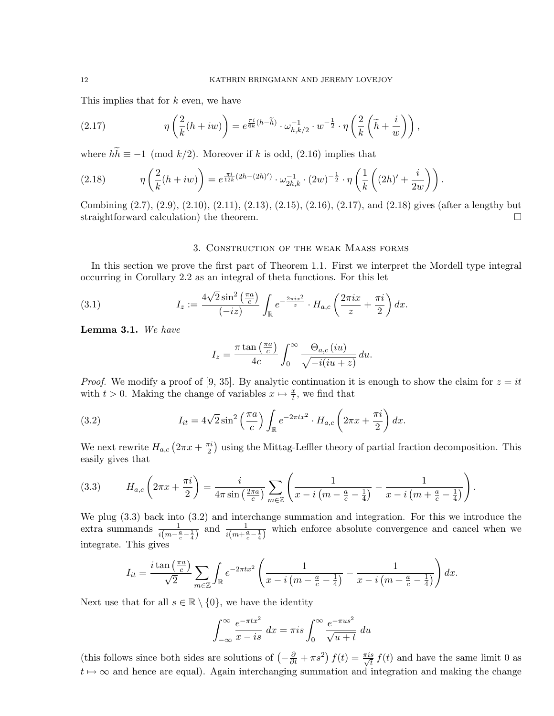This implies that for k even, we have

(2.17) 
$$
\eta\left(\frac{2}{k}(h+iw)\right) = e^{\frac{\pi i}{6k}(h-\widetilde{h})} \cdot \omega_{h,k/2}^{-1} \cdot w^{-\frac{1}{2}} \cdot \eta\left(\frac{2}{k}\left(\widetilde{h}+\frac{i}{w}\right)\right),
$$

where  $h\widetilde{h} \equiv -1 \pmod{k/2}$ . Moreover if k is odd, (2.16) implies that

(2.18) 
$$
\eta\left(\frac{2}{k}(h+iw)\right) = e^{\frac{\pi i}{12k}(2h-(2h)')}\cdot \omega_{2h,k}^{-1}\cdot (2w)^{-\frac{1}{2}}\cdot \eta\left(\frac{1}{k}\left((2h)' + \frac{i}{2w}\right)\right).
$$

Combining (2.7), (2.9), (2.10), (2.11), (2.13), (2.15), (2.16), (2.17), and (2.18) gives (after a lengthy but straightforward calculation) the theorem.

# 3. Construction of the weak Maass forms

In this section we prove the first part of Theorem 1.1. First we interpret the Mordell type integral occurring in Corollary 2.2 as an integral of theta functions. For this let

(3.1) 
$$
I_z := \frac{4\sqrt{2}\sin^2\left(\frac{\pi a}{c}\right)}{(-iz)} \int_{\mathbb{R}} e^{-\frac{2\pi i x^2}{z}} \cdot H_{a,c}\left(\frac{2\pi ix}{z} + \frac{\pi i}{2}\right) dx.
$$

Lemma 3.1. We have

$$
I_z = \frac{\pi \tan\left(\frac{\pi a}{c}\right)}{4c} \int_0^\infty \frac{\Theta_{a,c}(iu)}{\sqrt{-i(iu+z)}} du.
$$

*Proof.* We modify a proof of [9, 35]. By analytic continuation it is enough to show the claim for  $z = it$ with  $t > 0$ . Making the change of variables  $x \mapsto \frac{x}{t}$ , we find that

(3.2) 
$$
I_{it} = 4\sqrt{2}\sin^2\left(\frac{\pi a}{c}\right)\int_{\mathbb{R}} e^{-2\pi tx^2} \cdot H_{a,c}\left(2\pi x + \frac{\pi i}{2}\right) dx.
$$

We next rewrite  $H_{a,c}$   $\left(2\pi x+\frac{\pi i}{2}\right)$  $\frac{\pi i}{2}$ ) using the Mittag-Leffler theory of partial fraction decomposition. This easily gives that

.

(3.3) 
$$
H_{a,c}\left(2\pi x + \frac{\pi i}{2}\right) = \frac{i}{4\pi \sin\left(\frac{2\pi a}{c}\right)} \sum_{m \in \mathbb{Z}} \left(\frac{1}{x - i\left(m - \frac{a}{c} - \frac{1}{4}\right)} - \frac{1}{x - i\left(m + \frac{a}{c} - \frac{1}{4}\right)}\right)
$$

We plug (3.3) back into (3.2) and interchange summation and integration. For this we introduce the extra summands  $\frac{1}{i(m-\frac{a}{c}-\frac{1}{4})}$  and  $\frac{1}{i(m+\frac{a}{c}-\frac{1}{4})}$  which enforce absolute convergence and cancel when we integrate. This gives

$$
I_{it} = \frac{i \tan\left(\frac{\pi a}{c}\right)}{\sqrt{2}} \sum_{m \in \mathbb{Z}} \int_{\mathbb{R}} e^{-2\pi tx^2} \left(\frac{1}{x - i\left(m - \frac{a}{c} - \frac{1}{4}\right)} - \frac{1}{x - i\left(m + \frac{a}{c} - \frac{1}{4}\right)}\right) dx.
$$

Next use that for all  $s \in \mathbb{R} \setminus \{0\}$ , we have the identity

$$
\int_{-\infty}^{\infty} \frac{e^{-\pi tx^2}}{x - is} \, dx = \pi is \int_0^{\infty} \frac{e^{-\pi us^2}}{\sqrt{u + t}} \, du
$$

(this follows since both sides are solutions of  $\left(-\frac{\partial}{\partial t} + \pi s^2\right) f(t) = \frac{\pi i s}{\sqrt{t}} f(t)$  and have the same limit 0 as  $t \mapsto \infty$  and hence are equal). Again interchanging summation and integration and making the change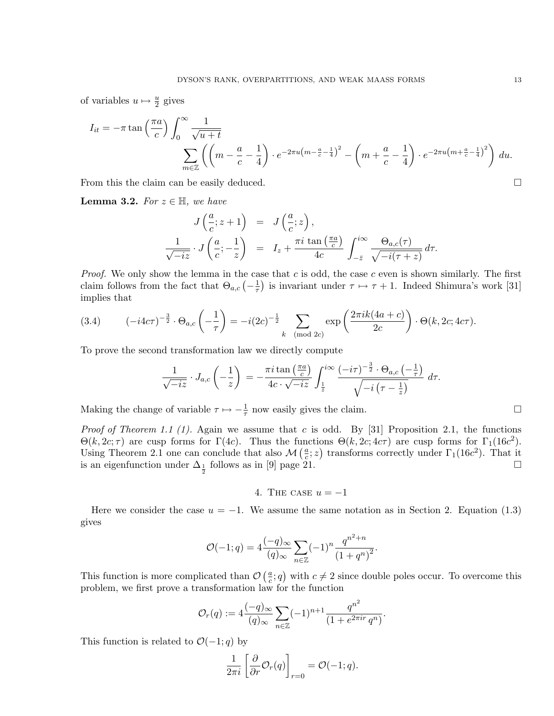of variables  $u \mapsto \frac{u}{2}$  gives

$$
I_{it} = -\pi \tan\left(\frac{\pi a}{c}\right) \int_0^\infty \frac{1}{\sqrt{u+t}}
$$

$$
\sum_{m \in \mathbb{Z}} \left( \left(m - \frac{a}{c} - \frac{1}{4}\right) \cdot e^{-2\pi u \left(m - \frac{a}{c} - \frac{1}{4}\right)^2} - \left(m + \frac{a}{c} - \frac{1}{4}\right) \cdot e^{-2\pi u \left(m + \frac{a}{c} - \frac{1}{4}\right)^2} \right) du.
$$

From this the claim can be easily deduced.

**Lemma 3.2.** For  $z \in \mathbb{H}$ , we have

$$
J\left(\frac{a}{c}; z+1\right) = J\left(\frac{a}{c}; z\right),
$$
  

$$
\frac{1}{\sqrt{-iz}} \cdot J\left(\frac{a}{c}; -\frac{1}{z}\right) = I_z + \frac{\pi i \tan\left(\frac{\pi a}{c}\right)}{4c} \int_{-\bar{z}}^{i\infty} \frac{\Theta_{a,c}(\tau)}{\sqrt{-i(\tau + z)}} d\tau.
$$

*Proof.* We only show the lemma in the case that c is odd, the case c even is shown similarly. The first claim follows from the fact that  $\Theta_{a,c}$   $\left(-\frac{1}{\tau}\right)$  $\frac{1}{\tau}$ ) is invariant under  $\tau \mapsto \tau + 1$ . Indeed Shimura's work [31] implies that

(3.4) 
$$
(-i4c\tau)^{-\frac{3}{2}} \cdot \Theta_{a,c} \left(-\frac{1}{\tau}\right) = -i(2c)^{-\frac{1}{2}} \sum_{k \pmod{2c}} \exp\left(\frac{2\pi i k(4a+c)}{2c}\right) \cdot \Theta(k, 2c; 4c\tau).
$$

To prove the second transformation law we directly compute

$$
\frac{1}{\sqrt{-iz}} \cdot J_{a,c}\left(-\frac{1}{z}\right) = -\frac{\pi i \tan\left(\frac{\pi a}{c}\right)}{4c \cdot \sqrt{-iz}} \int_{\frac{1}{\overline{z}}}^{i\infty} \frac{(-i\tau)^{-\frac{3}{2}} \cdot \Theta_{a,c}\left(-\frac{1}{\tau}\right)}{\sqrt{-i\left(\tau-\frac{1}{z}\right)}} d\tau.
$$

Making the change of variable  $\tau \mapsto -\frac{1}{\tau}$  now easily gives the claim.

*Proof of Theorem 1.1 (1).* Again we assume that c is odd. By [31] Proposition 2.1, the functions  $\Theta(k, 2c; \tau)$  are cusp forms for  $\Gamma(4c)$ . Thus the functions  $\Theta(k, 2c; 4c\tau)$  are cusp forms for  $\Gamma_1(16c^2)$ . Using Theorem 2.1 one can conclude that also  $\mathcal{M}\left(\frac{a}{c}\right)$  $(\frac{a}{c}; z)$  transforms correctly under  $\Gamma_1(16c^2)$ . That it is an eigenfunction under  $\Delta_{\frac{1}{2}}$  follows as in [9] page 21.

4. THE CASE  $u = -1$ 

Here we consider the case  $u = -1$ . We assume the same notation as in Section 2. Equation (1.3) gives

$$
\mathcal{O}(-1;q) = 4 \frac{(-q)_{\infty}}{(q)_{\infty}} \sum_{n \in \mathbb{Z}} (-1)^n \frac{q^{n^2 + n}}{(1 + q^n)^2}.
$$

This function is more complicated than  $\mathcal{O}\left(\frac{a}{c}\right)$  $(\frac{a}{c}; q)$  with  $c \neq 2$  since double poles occur. To overcome this problem, we first prove a transformation law for the function

$$
\mathcal{O}_r(q) := 4 \frac{(-q)_{\infty}}{(q)_{\infty}} \sum_{n \in \mathbb{Z}} (-1)^{n+1} \frac{q^{n^2}}{(1 + e^{2\pi ir} q^n)}.
$$

This function is related to  $\mathcal{O}(-1; q)$  by

$$
\frac{1}{2\pi i} \left[ \frac{\partial}{\partial r} \mathcal{O}_r(q) \right]_{r=0} = \mathcal{O}(-1; q).
$$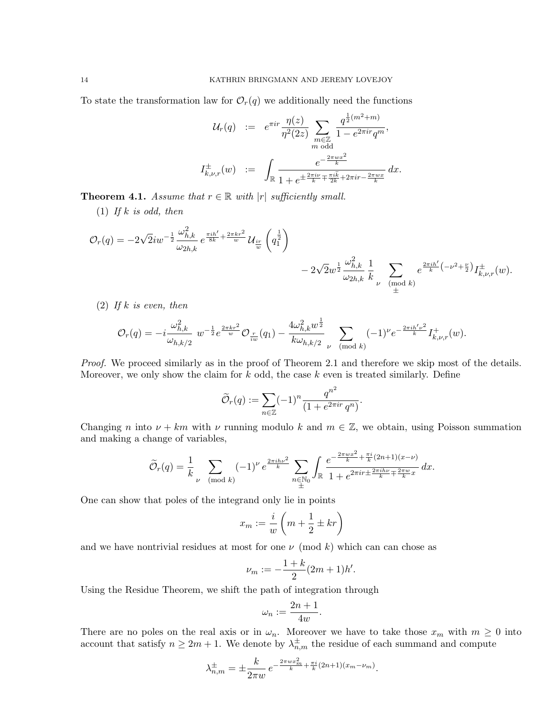To state the transformation law for  $\mathcal{O}_r(q)$  we additionally need the functions

$$
\mathcal{U}_r(q) := e^{\pi i r} \frac{\eta(z)}{\eta^2(2z)} \sum_{\substack{m \in \mathbb{Z} \\ m \text{ odd}}} \frac{q^{\frac{1}{2}(m^2 + m)}}{1 - e^{2\pi i r} q^m},
$$
  

$$
I_{k,\nu,r}^{\pm}(w) := \int_{\mathbb{R}} \frac{e^{-\frac{2\pi w x^2}{k}}}{1 + e^{\pm \frac{2\pi i \nu}{k} + \frac{\pi i \tilde{k}}{2k} + 2\pi i r - \frac{2\pi w x}{k}}} dx.
$$

**Theorem 4.1.** Assume that  $r \in \mathbb{R}$  with  $|r|$  sufficiently small.

(1) If  $k$  is odd, then

$$
\mathcal{O}_r(q) = -2\sqrt{2}iw^{-\frac{1}{2}}\frac{\omega_{h,k}^2}{\omega_{2h,k}} e^{\frac{\pi i h'}{8k} + \frac{2\pi k r^2}{w}} \mathcal{U}_{\frac{ir}{w}}\left(q_1^{\frac{1}{2}}\right) - 2\sqrt{2}w^{\frac{1}{2}}\frac{\omega_{h,k}^2}{\omega_{2h,k}} \frac{1}{k} \sum_{\substack{\nu \pmod{k} \\ \pm}} e^{\frac{2\pi i h'}{k}\left(-\nu^2 + \frac{\nu}{2}\right)} I_{k,\nu,r}^{\pm}(w).
$$

 $(2)$  If k is even, then

$$
\mathcal{O}_r(q) = -i \frac{\omega_{h,k}^2}{\omega_{h,k/2}} \ w^{-\frac{1}{2}} e^{\frac{2\pi k r^2}{w}} \mathcal{O}_{\frac{r}{iw}}(q_1) - \frac{4\omega_{h,k}^2 w^{\frac{1}{2}}}{k\omega_{h,k/2}} \sum_{\nu \pmod{k}} (-1)^{\nu} e^{-\frac{2\pi i h'\nu^2}{k}} I_{k,\nu,r}^+(w).
$$

Proof. We proceed similarly as in the proof of Theorem 2.1 and therefore we skip most of the details. Moreover, we only show the claim for  $k$  odd, the case  $k$  even is treated similarly. Define

$$
\widetilde{\mathcal{O}}_r(q) := \sum_{n \in \mathbb{Z}} (-1)^n \frac{q^{n^2}}{(1 + e^{2\pi ir} q^n)}.
$$

Changing n into  $\nu + km$  with  $\nu$  running modulo k and  $m \in \mathbb{Z}$ , we obtain, using Poisson summation and making a change of variables,

$$
\widetilde{\mathcal{O}}_r(q) = \frac{1}{k} \sum_{\nu \pmod{k}} (-1)^{\nu} e^{\frac{2\pi i h\nu^2}{k}} \sum_{\substack{n \in \mathbb{N}_0 \\ \pm}} \int_{\mathbb{R}} \frac{e^{-\frac{2\pi w x^2}{k} + \frac{\pi i}{k}(2n+1)(x-\nu)}}{1 + e^{2\pi i r \pm \frac{2\pi i h\nu}{k} + \frac{2\pi w}{k}x}} dx.
$$

One can show that poles of the integrand only lie in points

$$
x_m := \frac{i}{w} \left( m + \frac{1}{2} \pm kr \right)
$$

and we have nontrivial residues at most for one  $\nu \pmod{k}$  which can can chose as

$$
\nu_m := -\frac{1+k}{2}(2m+1)h'.
$$

Using the Residue Theorem, we shift the path of integration through

$$
\omega_n := \frac{2n+1}{4w}.
$$

There are no poles on the real axis or in  $\omega_n$ . Moreover we have to take those  $x_m$  with  $m \geq 0$  into account that satisfy  $n \geq 2m + 1$ . We denote by  $\lambda_{n,m}^{\pm}$  the residue of each summand and compute

$$
\lambda_{n,m}^{\pm} = \pm \frac{k}{2\pi w} e^{-\frac{2\pi wx_m^2}{k} + \frac{\pi i}{k}(2n+1)(x_m - \nu_m)}.
$$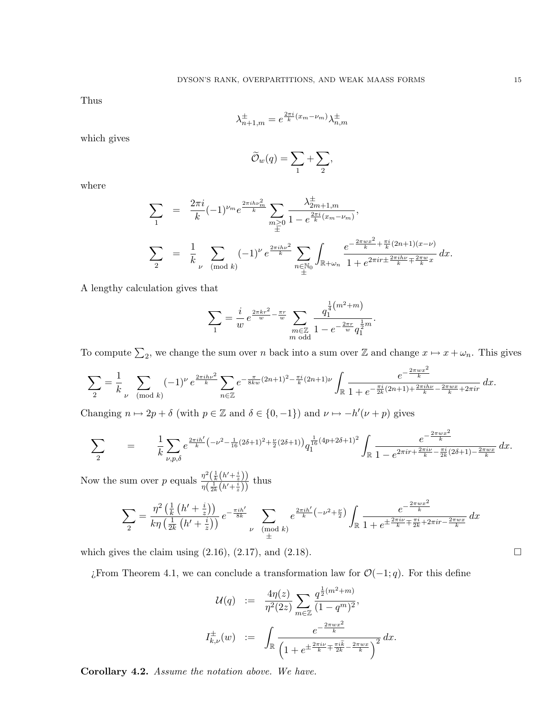Thus

$$
\lambda_{n+1,m}^{\pm} = e^{\frac{2\pi i}{k}(x_m - \nu_m)} \lambda_{n,m}^{\pm}
$$

which gives

$$
\widetilde{\mathcal{O}}_w(q) = \sum_1 + \sum_2,
$$

where

$$
\sum_{1} = \frac{2\pi i}{k} (-1)^{\nu_{m}} e^{\frac{2\pi i h \nu_{m}^{2}}{k}} \sum_{m \geq 0} \frac{\lambda_{2m+1,m}^{\pm}}{1 - e^{\frac{2\pi i}{k}(x_{m} - \nu_{m})}},
$$
\n
$$
\sum_{2} = \frac{1}{k} \sum_{\nu \pmod{k}} (-1)^{\nu} e^{\frac{2\pi i h \nu^{2}}{k}} \sum_{n \in \mathbb{N}_{0}} \int_{\mathbb{R} + \omega_{n}} \frac{e^{-\frac{2\pi w x^{2}}{k} + \frac{\pi i}{k}(2n+1)(x-\nu)}}{1 + e^{2\pi i r \pm \frac{2\pi i h \nu}{k} + \frac{2\pi w}{k}x}} dx.
$$

A lengthy calculation gives that

$$
\sum_{1} = \frac{i}{w} e^{\frac{2\pi kr^2}{w} - \frac{\pi r}{w}} \sum_{\substack{m \in \mathbb{Z} \\ m \text{ odd}}} \frac{q_1^{\frac{1}{4}(m^2 + m)}}{1 - e^{-\frac{2\pi r}{w}} q_1^{\frac{1}{2}m}}
$$

To compute  $\sum_2$ , we change the sum over n back into a sum over Z and change  $x \mapsto x + \omega_n$ . This gives

.

$$
\sum_{2} = \frac{1}{k} \sum_{\nu \pmod{k}} (-1)^{\nu} e^{\frac{2\pi i h \nu^{2}}{k}} \sum_{n \in \mathbb{Z}} e^{-\frac{\pi}{8kw}(2n+1)^{2} - \frac{\pi i}{k}(2n+1)\nu} \int_{\mathbb{R}} \frac{e^{-\frac{2\pi wx^{2}}{k}}}{1 + e^{-\frac{\pi i}{2k}(2n+1) + \frac{2\pi i h \nu}{k} - \frac{2\pi wx}{k} + 2\pi ir}} dx.
$$

Changing  $n \mapsto 2p + \delta$  (with  $p \in \mathbb{Z}$  and  $\delta \in \{0, -1\}$ ) and  $\nu \mapsto -h'(\nu + p)$  gives

$$
\sum_{2} = \frac{1}{k} \sum_{\nu,p,\delta} e^{\frac{2\pi i h'}{k} \left(-\nu^2 - \frac{1}{16}(2\delta + 1)^2 + \frac{\nu}{2}(2\delta + 1)\right)} q_1^{\frac{1}{16}(4p + 2\delta + 1)^2} \int_{\mathbb{R}} \frac{e^{-\frac{2\pi w x^2}{k}}}{1 - e^{2\pi i r + \frac{2\pi i \nu}{k} - \frac{\pi i}{2k}(2\delta + 1) - \frac{2\pi w x}{k}}} dx.
$$

Now the sum over p equals  $\frac{\eta^2\left(\frac{1}{k}\left(h'+\frac{i}{z}\right)\right)}{z\left(1+(k+i)\right)}$  $\frac{\eta(\frac{1}{k}(h+\frac{i}{z}))}{\eta(\frac{1}{2k}(h'+\frac{i}{z}))}$  thus

$$
\sum_{2} = \frac{\eta^{2} \left(\frac{1}{k} \left(h' + \frac{i}{z}\right)\right)}{k \eta \left(\frac{1}{2k} \left(h' + \frac{i}{z}\right)\right)} e^{-\frac{\pi i h'}{8k}} \sum_{\substack{\nu \pmod{k}}{}} e^{\frac{2\pi i h'}{k} \left(-\nu^{2} + \frac{\nu}{2}\right)} \int_{\mathbb{R}} \frac{e^{-\frac{2\pi w x^{2}}{k}}}{1 + e^{\pm \frac{2\pi i \nu}{k} \mp \frac{\pi i}{2k} + 2\pi i r - \frac{2\pi w x}{k}}} dx
$$

which gives the claim using  $(2.16)$ ,  $(2.17)$ , and  $(2.18)$ .

*i*From Theorem 4.1, we can conclude a transformation law for  $O(-1, q)$ . For this define

$$
\mathcal{U}(q) := \frac{4\eta(z)}{\eta^2(2z)} \sum_{m \in \mathbb{Z}} \frac{q^{\frac{1}{2}(m^2+m)}}{(1-q^m)^2},
$$
  

$$
I_{k,\nu}^{\pm}(w) := \int_{\mathbb{R}} \frac{e^{-\frac{2\pi wx^2}{k}}}{\left(1 + e^{\pm \frac{2\pi i\nu}{k} + \frac{\pi i\tilde{k}}{2k} - \frac{2\pi wx}{k}\right)^2}} dx.
$$

Corollary 4.2. Assume the notation above. We have.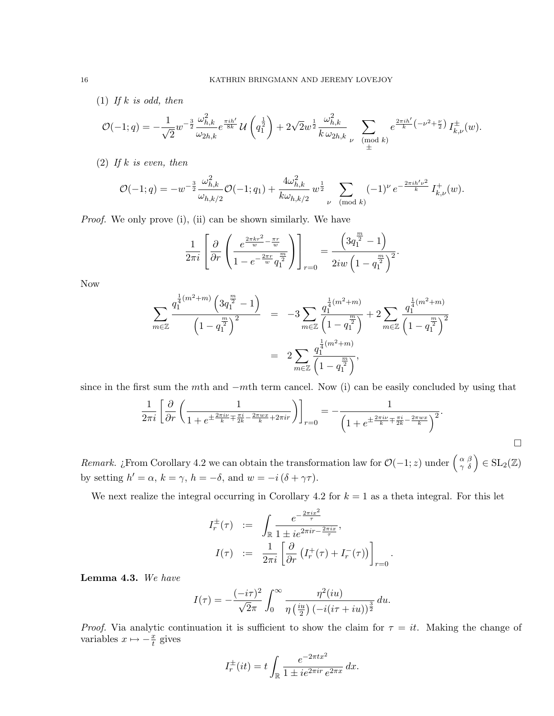(1) If  $k$  is odd, then

$$
\mathcal{O}(-1;q) = -\frac{1}{\sqrt{2}} w^{-\frac{3}{2}} \frac{\omega_{h,k}^2}{\omega_{2h,k}} e^{\frac{\pi i h'}{8k}} \mathcal{U}\left(q_1^{\frac{1}{2}}\right) + 2\sqrt{2} w^{\frac{1}{2}} \frac{\omega_{h,k}^2}{k \omega_{2h,k}} \sum_{\substack{\nu \pmod{k} \\ \pm}} e^{\frac{2\pi i h'}{k}} {(\nu^2 + \frac{\nu}{2})} I_{k,\nu}^{\pm}(w).
$$

(2) If  $k$  is even, then

$$
\mathcal{O}(-1;q) = -w^{-\frac{3}{2}} \frac{\omega_{h,k}^2}{\omega_{h,k/2}} \mathcal{O}(-1;q_1) + \frac{4\omega_{h,k}^2}{k\omega_{h,k/2}} w^{\frac{1}{2}} \sum_{\nu \pmod{k}} (-1)^{\nu} e^{-\frac{2\pi i h' \nu^2}{k}} I_{k,\nu}^+(w).
$$

Proof. We only prove (i), (ii) can be shown similarly. We have

$$
\frac{1}{2\pi i} \left[ \frac{\partial}{\partial r} \left( \frac{e^{\frac{2\pi k r^2}{w} - \frac{\pi r}{w}}}{1 - e^{-\frac{2\pi r}{w} q_1^{\frac{m}{2}}} } \right) \right]_{r=0} = \frac{\left( 3q_1^{\frac{m}{2}} - 1 \right)}{2iw \left( 1 - q_1^{\frac{m}{2}} \right)^2}.
$$

Now

$$
\sum_{m\in\mathbb{Z}} \frac{q_1^{\frac{1}{4}(m^2+m)} \left(3q_1^{\frac{m}{2}}-1\right)}{\left(1-q_1^{\frac{m}{2}}\right)^2} = -3 \sum_{m\in\mathbb{Z}} \frac{q_1^{\frac{1}{4}(m^2+m)}}{\left(1-q_1^{\frac{m}{2}}\right)} + 2 \sum_{m\in\mathbb{Z}} \frac{q_1^{\frac{1}{4}(m^2+m)}}{\left(1-q_1^{\frac{m}{2}}\right)^2} = 2 \sum_{m\in\mathbb{Z}} \frac{q_1^{\frac{1}{4}(m^2+m)}}{\left(1-q_1^{\frac{m}{2}}\right)},
$$

since in the first sum the mth and −mth term cancel. Now (i) can be easily concluded by using that

$$
\frac{1}{2\pi i} \left[ \frac{\partial}{\partial r} \left( \frac{1}{1 + e^{\pm \frac{2\pi i \nu}{k} \mp \frac{\pi i}{2k} - \frac{2\pi w x}{k} + 2\pi i r}} \right) \right]_{r=0} = -\frac{1}{\left( 1 + e^{\pm \frac{2\pi i \nu}{k} \mp \frac{\pi i}{2k} - \frac{2\pi w x}{k}} \right)^2}.
$$

.

Remark. ¿From Corollary 4.2 we can obtain the transformation law for  $\mathcal{O}(-1, z)$  under  $\begin{pmatrix} \alpha & \beta \\ \gamma & \delta \end{pmatrix} \in SL_2(\mathbb{Z})$ by setting  $h' = \alpha$ ,  $k = \gamma$ ,  $h = -\delta$ , and  $w = -i(\delta + \gamma \tau)$ .

We next realize the integral occurring in Corollary 4.2 for  $k = 1$  as a theta integral. For this let

$$
I_r^{\pm}(\tau) := \int_{\mathbb{R}} \frac{e^{-\frac{2\pi ix^2}{\tau}}}{1 \pm ie^{2\pi ir - \frac{2\pi ix}{\tau}}},
$$

$$
I(\tau) := \frac{1}{2\pi i} \left[ \frac{\partial}{\partial r} \left( I_r^+(\tau) + I_r^-(\tau) \right) \right]_{r=0}
$$

Lemma 4.3. We have

$$
I(\tau) = -\frac{(-i\tau)^2}{\sqrt{2}\pi} \int_0^\infty \frac{\eta^2(iu)}{\eta(\frac{iu}{2})(-i(i\tau + iu))^{\frac{3}{2}}} du.
$$

*Proof.* Via analytic continuation it is sufficient to show the claim for  $\tau = it$ . Making the change of variables  $x \mapsto -\frac{x}{t}$  gives

$$
I_r^{\pm}(it) = t \int_{\mathbb{R}} \frac{e^{-2\pi tx^2}}{1 \pm i e^{2\pi ir} e^{2\pi x}} dx.
$$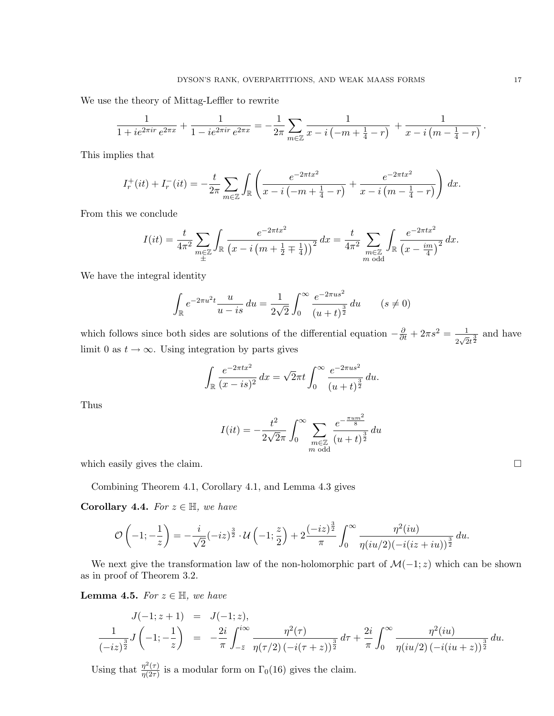We use the theory of Mittag-Leffler to rewrite

$$
\frac{1}{1 + ie^{2\pi ir}e^{2\pi x}} + \frac{1}{1 - ie^{2\pi ir}e^{2\pi x}} = -\frac{1}{2\pi} \sum_{m \in \mathbb{Z}} \frac{1}{x - i\left(-m + \frac{1}{4} - r\right)} + \frac{1}{x - i\left(m - \frac{1}{4} - r\right)}.
$$

This implies that

$$
I_r^+(it) + I_r^-(it) = -\frac{t}{2\pi} \sum_{m \in \mathbb{Z}} \int_{\mathbb{R}} \left( \frac{e^{-2\pi tx^2}}{x - i\left(-m + \frac{1}{4} - r\right)} + \frac{e^{-2\pi tx^2}}{x - i\left(m - \frac{1}{4} - r\right)} \right) dx.
$$

From this we conclude

$$
I(it) = \frac{t}{4\pi^2} \sum_{\substack{m \in \mathbb{Z} \\ \pm}} \int_{\mathbb{R}} \frac{e^{-2\pi tx^2}}{(x - i\left(m + \frac{1}{2} \mp \frac{1}{4}\right))^2} dx = \frac{t}{4\pi^2} \sum_{\substack{m \in \mathbb{Z} \\ m \text{ odd}}} \int_{\mathbb{R}} \frac{e^{-2\pi tx^2}}{(x - \frac{im}{4})^2} dx.
$$

We have the integral identity

$$
\int_{\mathbb{R}} e^{-2\pi u^2 t} \frac{u}{u - is} du = \frac{1}{2\sqrt{2}} \int_0^\infty \frac{e^{-2\pi u s^2}}{(u + t)^{\frac{3}{2}}} du \qquad (s \neq 0)
$$

which follows since both sides are solutions of the differential equation  $-\frac{\partial}{\partial t} + 2\pi s^2 = \frac{1}{2\sqrt{3}}$  $\frac{1}{2\sqrt{2}t^{\frac{3}{2}}}$  and have limit 0 as  $t \to \infty$ . Using integration by parts gives

$$
\int_{\mathbb{R}} \frac{e^{-2\pi tx^2}}{(x-is)^2} dx = \sqrt{2\pi}t \int_0^\infty \frac{e^{-2\pi u s^2}}{(u+t)^{\frac{3}{2}}} du.
$$

Thus

$$
I(it) = -\frac{t^2}{2\sqrt{2}\pi} \int_0^{\infty} \sum_{\substack{m \in \mathbb{Z} \\ m \text{ odd}}} \frac{e^{-\frac{\pi u m^2}{8}}}{(u+t)^{\frac{3}{2}}} du
$$

which easily gives the claim.

Combining Theorem 4.1, Corollary 4.1, and Lemma 4.3 gives

Corollary 4.4. For  $z \in \mathbb{H}$ , we have

$$
\mathcal{O}\left(-1;-\frac{1}{z}\right) = -\frac{i}{\sqrt{2}}(-iz)^{\frac{3}{2}} \cdot \mathcal{U}\left(-1;\frac{z}{2}\right) + 2\frac{(-iz)^{\frac{3}{2}}}{\pi} \int_0^\infty \frac{\eta^2(iu)}{\eta(iu/2)(-i(iz+iu))^{\frac{3}{2}}} du.
$$

We next give the transformation law of the non-holomorphic part of  $\mathcal{M}(-1, z)$  which can be shown as in proof of Theorem 3.2.

**Lemma 4.5.** For  $z \in \mathbb{H}$ , we have

$$
J(-1; z+1) = J(-1; z),
$$
  

$$
\frac{1}{(-iz)^{\frac{3}{2}}} J\left(-1; -\frac{1}{z}\right) = -\frac{2i}{\pi} \int_{-\overline{z}}^{i\infty} \frac{\eta^2(\tau)}{\eta(\tau/2) (-i(\tau+z))^{\frac{3}{2}}} d\tau + \frac{2i}{\pi} \int_{0}^{\infty} \frac{\eta^2(iu)}{\eta(iu/2) (-i(iu+z))^{\frac{3}{2}}} du.
$$

Using that  $\frac{\eta^2(\tau)}{\eta(2\tau)}$  $\frac{\eta^{-}(\tau)}{\eta(2\tau)}$  is a modular form on  $\Gamma_0(16)$  gives the claim.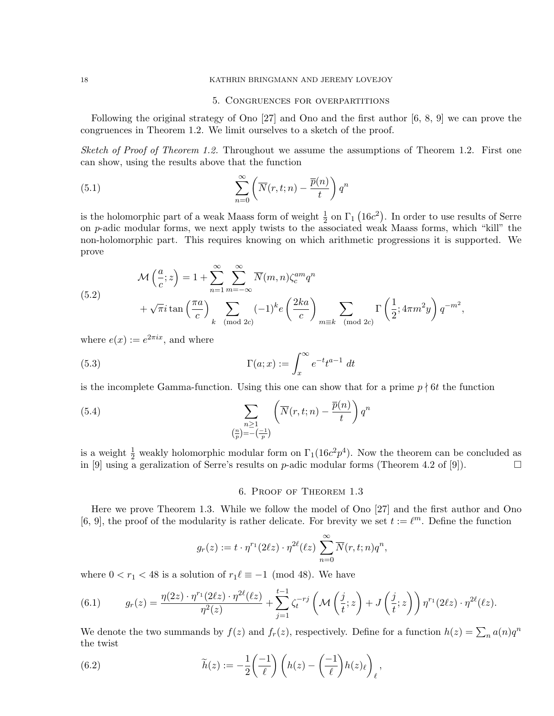### 18 KATHRIN BRINGMANN AND JEREMY LOVEJOY

### 5. Congruences for overpartitions

Following the original strategy of Ono [27] and Ono and the first author [6, 8, 9] we can prove the congruences in Theorem 1.2. We limit ourselves to a sketch of the proof.

Sketch of Proof of Theorem 1.2. Throughout we assume the assumptions of Theorem 1.2. First one can show, using the results above that the function

(5.1) 
$$
\sum_{n=0}^{\infty} \left( \overline{N}(r, t; n) - \frac{\overline{p}(n)}{t} \right) q^n
$$

is the holomorphic part of a weak Maass form of weight  $\frac{1}{2}$  on  $\Gamma_1$  (16c<sup>2</sup>). In order to use results of Serre on p-adic modular forms, we next apply twists to the associated weak Maass forms, which "kill" the non-holomorphic part. This requires knowing on which arithmetic progressions it is supported. We prove

(5.2)  
\n
$$
\mathcal{M}\left(\frac{a}{c};z\right) = 1 + \sum_{n=1}^{\infty} \sum_{m=-\infty}^{\infty} \overline{N}(m,n) \zeta_c^{am} q^n + \sqrt{\pi} i \tan\left(\frac{\pi a}{c}\right) \sum_{k \pmod{2c}} (-1)^k e\left(\frac{2ka}{c}\right) \sum_{m \equiv k \pmod{2c}} \Gamma\left(\frac{1}{2}; 4\pi m^2 y\right) q^{-m^2},
$$

where  $e(x) := e^{2\pi ix}$ , and where

(5.3) 
$$
\Gamma(a;x) := \int_x^{\infty} e^{-t} t^{a-1} dt
$$

is the incomplete Gamma-function. Using this one can show that for a prime  $p \nmid 6t$  the function

(5.4) 
$$
\sum_{\substack{n \geq 1 \\ (\frac{n}{p}) = -(\frac{-1}{p})}} \left( \overline{N}(r, t; n) - \frac{\overline{p}(n)}{t} \right) q^n
$$

is a weight  $\frac{1}{2}$  weakly holomorphic modular form on  $\Gamma_1(16c^2p^4)$ . Now the theorem can be concluded as in [9] using a geralization of Serre's results on p-adic modular forms (Theorem 4.2 of [9]).

### 6. Proof of Theorem 1.3

Here we prove Theorem 1.3. While we follow the model of Ono [27] and the first author and Ono [6, 9], the proof of the modularity is rather delicate. For brevity we set  $t := \ell^m$ . Define the function

$$
g_r(z) := t \cdot \eta^{r_1}(2\ell z) \cdot \eta^{2\ell}(\ell z) \sum_{n=0}^{\infty} \overline{N}(r, t; n) q^n,
$$

where  $0 < r_1 < 48$  is a solution of  $r_1 \ell \equiv -1 \pmod{48}$ . We have

(6.1) 
$$
g_r(z) = \frac{\eta(2z) \cdot \eta^{r_1}(2\ell z) \cdot \eta^{2\ell}(\ell z)}{\eta^2(z)} + \sum_{j=1}^{t-1} \zeta_j^{-r_j} \left(\mathcal{M}\left(\frac{j}{t};z\right) + J\left(\frac{j}{t};z\right)\right) \eta^{r_1}(2\ell z) \cdot \eta^{2\ell}(\ell z).
$$

We denote the two summands by  $f(z)$  and  $f_r(z)$ , respectively. Define for a function  $h(z) = \sum_n a(n)q^n$ the twist

(6.2) 
$$
\widetilde{h}(z) := -\frac{1}{2} \left( \frac{-1}{\ell} \right) \left( h(z) - \left( \frac{-1}{\ell} \right) h(z)_{\ell} \right)_{\ell},
$$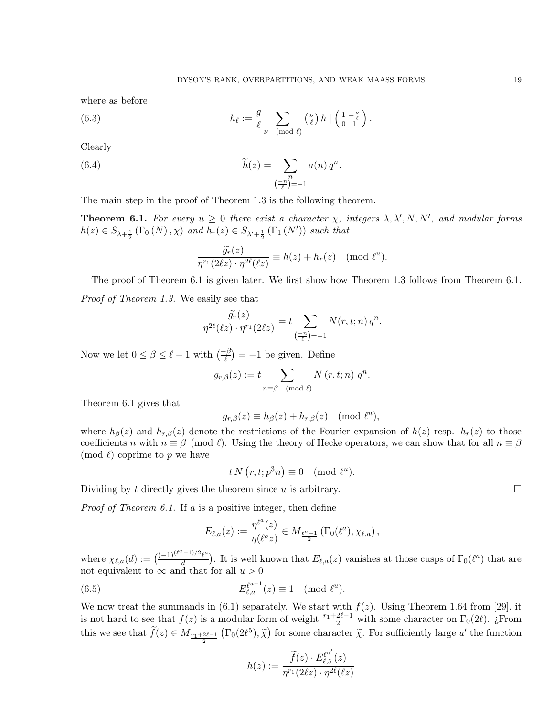where as before

(6.3) 
$$
h_{\ell} := \frac{g}{\ell} \sum_{\nu \pmod{\ell}} \left(\frac{\nu}{\ell}\right) h \mid \left(\begin{array}{cc} 1 - \frac{\nu}{\ell} \\ 0 & 1 \end{array}\right).
$$

Clearly

(6.4) 
$$
\widetilde{h}(z) = \sum_{\substack{n \\ (\frac{-n}{\ell})=-1}} a(n) q^n.
$$

The main step in the proof of Theorem 1.3 is the following theorem.

**Theorem 6.1.** For every  $u \geq 0$  there exist a character  $\chi$ , integers  $\lambda$ ,  $\lambda'$ ,  $N$ ,  $N'$ , and modular forms  $h(z) \in S_{\lambda + \frac{1}{2}}(\Gamma_0(N), \chi)$  and  $h_r(z) \in S_{\lambda' + \frac{1}{2}}(\Gamma_1(N'))$  such that

$$
\frac{\widetilde{g_r}(z)}{\eta^{r_1}(2\ell z)\cdot \eta^{2\ell}(\ell z)} \equiv h(z) + h_r(z) \pmod{\ell^u}.
$$

The proof of Theorem 6.1 is given later. We first show how Theorem 1.3 follows from Theorem 6.1.

Proof of Theorem 1.3. We easily see that

$$
\frac{\widetilde{g_r}(z)}{\eta^{2\ell}(\ell z)\cdot \eta^{r_1}(2\ell z)}=t\sum_{\left(\frac{-n}{\ell}\right)=-1}\overline{N}(r,t;n)\,q^n.
$$

Now we let  $0 \le \beta \le \ell - 1$  with  $\left(\frac{-\beta}{\ell}\right) = -1$  be given. Define

$$
g_{r,\beta}(z) := t \sum_{n \equiv \beta \pmod{\ell}} \overline{N}(r,t;n) \ q^n.
$$

Theorem 6.1 gives that

$$
g_{r,\beta}(z) \equiv h_{\beta}(z) + h_{r,\beta}(z) \pmod{\ell^u},
$$

where  $h_{\beta}(z)$  and  $h_{r,\beta}(z)$  denote the restrictions of the Fourier expansion of  $h(z)$  resp.  $h_r(z)$  to those coefficients n with  $n \equiv \beta \pmod{\ell}$ . Using the theory of Hecke operators, we can show that for all  $n \equiv \beta$ (mod  $\ell$ ) coprime to p we have

$$
t\,\overline{N}\left(r,t;p^{3}n\right) \equiv 0 \pmod{\ell^{u}}.
$$

Dividing by t directly gives the theorem since u is arbitrary.  $\square$ 

*Proof of Theorem 6.1.* If a is a positive integer, then define

$$
E_{\ell,a}(z):=\frac{\eta^{\ell^a}(z)}{\eta(\ell^a z)}\in M_{\frac{\ell^a-1}{2}}\left(\Gamma_0(\ell^a),\chi_{\ell,a}\right),
$$

where  $\chi_{\ell,a}(d) := \left( \frac{(-1)^{(\ell^a - 1)/2} \ell^a}{d} \right)$  $\frac{(-1)^{1/2}\ell^{a}}{d}$ . It is well known that  $E_{\ell,a}(z)$  vanishes at those cusps of  $\Gamma_0(\ell^a)$  that are not equivalent to  $\infty$  and that for all  $u > 0$ 

(6.5) 
$$
E_{\ell,a}^{\ell^{u-1}}(z) \equiv 1 \pmod{\ell^u}.
$$

We now treat the summands in  $(6.1)$  separately. We start with  $f(z)$ . Using Theorem 1.64 from [29], it is not hard to see that  $f(z)$  is a modular form of weight  $\frac{r_1+2\ell-1}{2}$  with some character on  $\Gamma_0(2\ell)$ . ¿From this we see that  $\tilde{f}(z) \in M_{\frac{r_1+2\ell-1}{2}}(\Gamma_0(2\ell^5), \tilde{\chi})$  for some character  $\tilde{\chi}$ . For sufficiently large u' the function

$$
h(z):=\frac{\widetilde{f}(z)\cdot E_{\ell,5}^{\ell^{u'}}(z)}{\eta^{r_1}(2\ell z)\cdot \eta^{2\ell}(\ell z)}
$$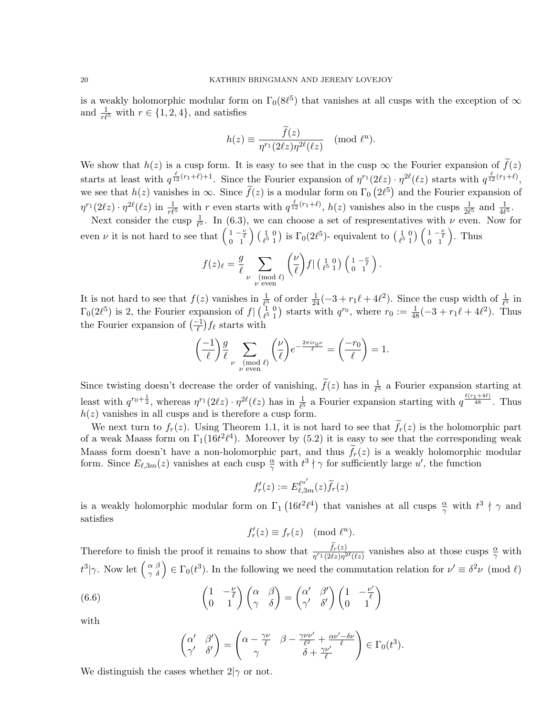is a weakly holomorphic modular form on  $\Gamma_0(8\ell^5)$  that vanishes at all cusps with the exception of  $\infty$ and  $\frac{1}{r\ell^5}$  with  $r \in \{1, 2, 4\}$ , and satisfies

$$
h(z) \equiv \frac{\widetilde{f}(z)}{\eta^{r_1}(2\ell z)\eta^{2\ell}(\ell z)} \pmod{\ell^u}.
$$

We show that  $h(z)$  is a cusp form. It is easy to see that in the cusp  $\infty$  the Fourier expansion of  $\tilde{f}(z)$ starts at least with  $q^{\frac{\ell}{12}(r_1+\ell)+1}$ . Since the Fourier expansion of  $\eta^{r_1}(2\ell z) \cdot \eta^{2\ell}(\ell z)$  starts with  $q^{\frac{\ell}{12}(r_1+\ell)}$ , we see that  $h(z)$  vanishes in  $\infty$ . Since  $\tilde{f}(z)$  is a modular form on  $\Gamma_0(2\ell^5)$  and the Fourier expansion of  $\eta^{r_1}(2\ell z) \cdot \eta^{2\ell}(\ell z)$  in  $\frac{1}{r\ell^5}$  with r even starts with  $q^{\frac{\ell}{12}(r_1+\ell)}, h(z)$  vanishes also in the cusps  $\frac{1}{2\ell^5}$  and  $\frac{1}{4\ell^5}$ .

Next consider the cusp  $\frac{1}{\ell^5}$ . In (6.3), we can choose a set of respresentatives with  $\nu$  even. Now for even  $\nu$  it is not hard to see that  $\left(\begin{smallmatrix} 1 & -\frac{\nu}{\ell} \\ 0 & 1 \end{smallmatrix}\right) \left(\begin{smallmatrix} 1 & 0 \\ \ell^5 & 1 \end{smallmatrix}\right)$  $\binom{1}{\ell^5}$  is  $\Gamma_0(2\ell^5)$ - equivalent to  $\binom{1}{\ell^5}$  1  $\binom{1}{\ell^5} \binom{0}{\ell} \binom{1-\frac{\nu}{\ell}}{1}$ . Thus

$$
f(z)_{\ell} = \frac{g}{\ell} \sum_{\substack{\nu \pmod{\ell} \\ \nu \text{ even}}} \left(\frac{\nu}{\ell}\right) f \mid \left(\begin{smallmatrix} 1 & 0 \\ \ell^5 & 1 \end{smallmatrix}\right) \left(\begin{smallmatrix} 1 & -\frac{\nu}{\ell} \\ 0 & 1 \end{smallmatrix}\right).
$$

It is not hard to see that  $f(z)$  vanishes in  $\frac{1}{\ell^5}$  of order  $\frac{1}{24}(-3 + r_1\ell + 4\ell^2)$ . Since the cusp width of  $\frac{1}{\ell^5}$  in  $\Gamma_0(2\ell^5)$  is 2, the Fourier expansion of  $f$   $\begin{pmatrix} 1 & 0 \\ f^{5} & 1 \end{pmatrix}$  $\binom{1}{e^5}$  starts with  $q^{r_0}$ , where  $r_0 := \frac{1}{48}(-3 + r_1\ell + 4\ell^2)$ . Thus the Fourier expansion of  $\left(\frac{-1}{\ell}\right) f_{\ell}$  starts with

$$
\left(\frac{-1}{\ell}\right)\frac{g}{\ell}\sum_{\substack{\nu \pmod{\ell}\\ \nu \text{ even}}} \left(\frac{\nu}{\ell}\right)e^{-\frac{2\pi i r_0 \nu}{\ell}} = \left(\frac{-r_0}{\ell}\right) = 1.
$$

Since twisting doesn't decrease the order of vanishing,  $\tilde{f}(z)$  has in  $\frac{1}{\ell^5}$  a Fourier expansion starting at least with  $q^{r_0+\frac{1}{2}}$ , whereas  $\eta^{r_1}(2\ell z) \cdot \eta^{2\ell}(\ell z)$  has in  $\frac{1}{\ell^5}$  a Fourier expansion starting with  $q^{\frac{\ell(r_1+4\ell)}{48}}$ . Thus  $h(z)$  vanishes in all cusps and is therefore a cusp form.

We next turn to  $f_r(z)$ . Using Theorem 1.1, it is not hard to see that  $f_r(z)$  is the holomorphic part of a weak Maass form on  $\Gamma_1(16t^2\ell^4)$ . Moreover by (5.2) it is easy to see that the corresponding weak Maass form doesn't have a non-holomorphic part, and thus  $f_r(z)$  is a weakly holomorphic modular form. Since  $E_{\ell,3m}(z)$  vanishes at each cusp  $\frac{\alpha}{\gamma}$  with  $t^3 \nmid \gamma$  for sufficiently large u', the function

$$
f'_r(z):=E^{\ell^{u'}}_{\ell,3m}(z)\widetilde{f}_r(z)
$$

is a weakly holomorphic modular form on  $\Gamma_1$  (16t<sup>2</sup> $\ell^4$ ) that vanishes at all cusps  $\frac{\alpha}{\gamma}$  with  $t^3 \nmid \gamma$  and satisfies

$$
f'_r(z) \equiv f_r(z) \pmod{\ell^u}.
$$

Therefore to finish the proof it remains to show that  $\frac{f_r(z)}{\eta^{r_1}(2\ell z)\eta^{2\ell}(\ell z)}$  vanishes also at those cusps  $\frac{\alpha}{\gamma}$  with  $t^3|\gamma$ . Now let  $\begin{pmatrix} \alpha & \beta \\ \gamma & \delta \end{pmatrix} \in \Gamma_0(t^3)$ . In the following we need the commutation relation for  $\nu' \equiv \delta^2 \nu \pmod{l}$ 

(6.6) 
$$
\begin{pmatrix} 1 & -\frac{\nu}{\ell} \\ 0 & 1 \end{pmatrix} \begin{pmatrix} \alpha & \beta \\ \gamma & \delta \end{pmatrix} = \begin{pmatrix} \alpha' & \beta' \\ \gamma' & \delta' \end{pmatrix} \begin{pmatrix} 1 & -\frac{\nu'}{\ell} \\ 0 & 1 \end{pmatrix}
$$

with

$$
\begin{pmatrix} \alpha' & \beta' \\ \gamma' & \delta' \end{pmatrix} = \begin{pmatrix} \alpha - \frac{\gamma \nu}{\ell} & \beta - \frac{\gamma \nu \nu'}{\ell^2} + \frac{\alpha \nu' - \delta \nu}{\ell} \\ \gamma & \delta + \frac{\gamma \nu'}{\ell} \end{pmatrix} \in \Gamma_0(t^3).
$$

We distinguish the cases whether  $2|\gamma$  or not.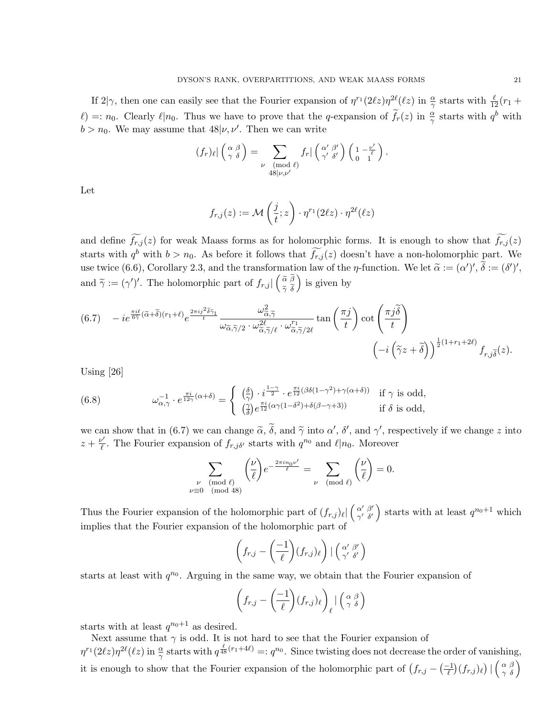If  $2|\gamma$ , then one can easily see that the Fourier expansion of  $\eta^{r_1}(2\ell z)\eta^{2\ell}(\ell z)$  in  $\frac{\alpha}{\gamma}$  starts with  $\frac{\ell}{12}(r_1 +$  $\ell$ ) =:  $n_0$ . Clearly  $\ell | n_0$ . Thus we have to prove that the q-expansion of  $\tilde{f}_r(z)$  in  $\frac{\alpha}{\gamma}$  starts with  $q^b$  with  $b > n_0$ . We may assume that  $48|\nu, \nu'$ . Then we can write

$$
(f_r)_{\ell} \vert \begin{pmatrix} \alpha \ \beta \\ \gamma \ \delta \end{pmatrix} = \sum_{\substack{\nu \pmod{\ell} \\ 48 \vert \nu, \nu' }} f_r \vert \begin{pmatrix} \alpha' \ \beta' \\ \gamma' \ \delta' \end{pmatrix} \begin{pmatrix} 1 - \frac{\nu'}{\ell} \\ 0 & 1 \end{pmatrix}.
$$

Let

$$
f_{r,j}(z) := \mathcal{M}\left(\frac{j}{t}; z\right) \cdot \eta^{r_1}(2\ell z) \cdot \eta^{2\ell}(\ell z)
$$

and define  $\widetilde{f_{r,j}}(z)$  for weak Maass forms as for holomorphic forms. It is enough to show that  $\widetilde{f_{r,j}}(z)$ starts with  $q^b$  with  $b > n_0$ . As before it follows that  $f_{r,j}(z)$  doesn't have a non-holomorphic part. We use twice (6.6), Corollary 2.3, and the transformation law of the  $\eta$ -function. We let  $\tilde{\alpha} := (\alpha')', \tilde{\delta} := (\delta')',$ and  $\widetilde{\gamma} := (\gamma')'$ . The holomorphic part of  $f_{r,j} | \begin{pmatrix} \widetilde{\alpha} & \widetilde{\beta} \\ \widetilde{\gamma} & \widetilde{\delta} \end{pmatrix}$  $\widetilde{\gamma}$  δ is given by

$$
(6.7) \t - ie^{\frac{\pi i \ell}{6\tilde{\gamma}}(\tilde{\alpha}+\tilde{\delta})(r_1+\ell)} e^{\frac{2\pi i j^2 \tilde{\delta}\tilde{\gamma}_1}{t}} \frac{\omega_{\tilde{\alpha},\tilde{\gamma}}^2}{\omega_{\tilde{\alpha},\tilde{\gamma}/2} \cdot \omega_{\tilde{\alpha},\tilde{\gamma}/\ell}^{2\ell} \cdot \omega_{\tilde{\alpha},\tilde{\gamma}/2\ell}^{r_1}} \tan\left(\frac{\pi j}{t}\right) \cot\left(\frac{\pi j \tilde{\delta}}{t}\right) \left(-i\left(\tilde{\gamma}z+\tilde{\delta}\right)\right)^{\frac{1}{2}(1+r_1+2\ell)} f_{r,j\tilde{\delta}}(z).
$$

Using [26]

(6.8) 
$$
\omega_{\alpha,\gamma}^{-1} \cdot e^{\frac{\pi i}{12\gamma}(\alpha+\delta)} = \begin{cases} \left(\frac{\delta}{\gamma}\right) \cdot i^{\frac{1-\gamma}{2}} \cdot e^{\frac{\pi i}{12}(\beta\delta(1-\gamma^2)+\gamma(\alpha+\delta))} & \text{if } \gamma \text{ is odd,} \\ \left(\frac{\gamma}{\delta}\right) e^{\frac{\pi i}{12}(\alpha\gamma(1-\delta^2)+\delta(\beta-\gamma+3))} & \text{if } \delta \text{ is odd,} \end{cases}
$$

we can show that in (6.7) we can change  $\tilde{\alpha}$ ,  $\tilde{\delta}$ , and  $\tilde{\gamma}$  into  $\alpha'$ ,  $\delta'$ , and  $\gamma'$ , respectively if we change z into  $\tilde{\alpha} + \nu'$ . The Fourier currenties of for a starts with  $\tilde{\alpha}^{00}$  and  $\ell | \alpha$ . M  $z+\frac{\nu'}{\ell}$  $\ell$ . The Fourier expansion of  $f_{r,j\delta'}$  starts with  $q^{n_0}$  and  $\ell|n_0$ . Moreover

$$
\sum_{\substack{\nu \pmod{\ell} \\ \nu \equiv 0 \pmod{48}}} \left(\frac{\nu}{\ell}\right) e^{-\frac{2\pi i n_0 \nu'}{\ell}} = \sum_{\substack{\nu \pmod{\ell} }} \left(\frac{\nu}{\ell}\right) = 0.
$$

Thus the Fourier expansion of the holomorphic part of  $(f_{r,j})_{\ell}$   $\Big(\begin{array}{cc} \alpha' & \beta' \\ \gamma' & \delta' \end{array}\Big)$  $\alpha'$ ,  $\beta'$  starts with at least  $q^{n_0+1}$  which implies that the Fourier expansion of the holomorphic part of

$$
\left(f_{r,j}-\left(\frac{-1}{\ell}\right)(f_{r,j})_{\ell}\right)\big|\left(\begin{smallmatrix} \alpha' & \beta' \\ \gamma' & \delta' \end{smallmatrix}\right)
$$

starts at least with  $q^{n_0}$ . Arguing in the same way, we obtain that the Fourier expansion of

$$
\left(f_{r,j}-\left(\frac{-1}{\ell}\right)(f_{r,j})_{\ell}\right)_{\ell} \mid \left(\begin{array}{c} \alpha \beta \\ \gamma \delta \end{array}\right)
$$

starts with at least  $q^{n_0+1}$  as desired.

Next assume that  $\gamma$  is odd. It is not hard to see that the Fourier expansion of  $\eta^{r_1}(2\ell z)\eta^{2\ell}(\ell z)$  in  $\frac{\alpha}{\gamma}$  starts with  $q^{\frac{\ell}{48}(r_1+4\ell)} =: q^{n_0}$ . Since twisting does not decrease the order of vanishing, it is enough to show that the Fourier expansion of the holomorphic part of  $(f_{r,j} - \frac{(-1)}{\ell}(f_{r,j})_\ell) | \begin{pmatrix} \alpha & \beta \\ \gamma & \delta \end{pmatrix}$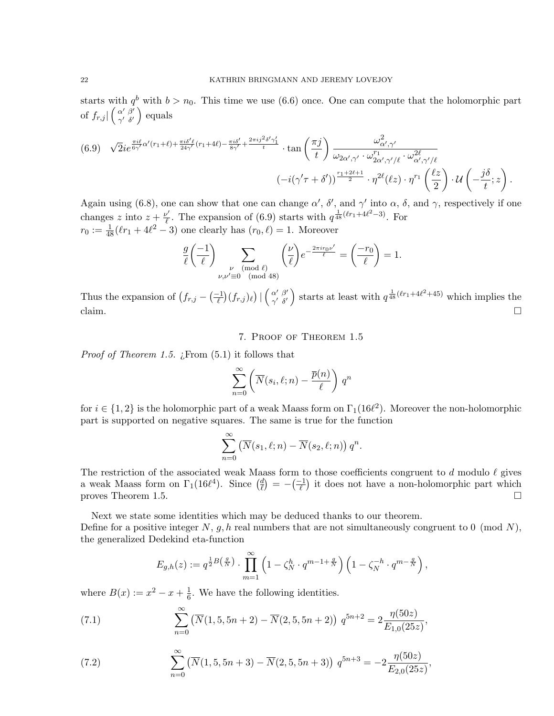starts with  $q^{b}$  with  $b > n_0$ . This time we use (6.6) once. One can compute that the holomorphic part of  $f_{r,j}$   $\left(\begin{array}{cc} \alpha' & \beta' \\ \gamma' & \delta' \end{array}\right)$  $\alpha' \frac{\beta'}{\delta'}$  equals

$$
(6.9) \sqrt{2}ie^{\frac{\pi i\ell}{6\gamma'}\alpha'(r_1+\ell)+\frac{\pi i\delta'\ell}{24\gamma'}(r_1+4\ell)-\frac{\pi i\delta'}{8\gamma'}+\frac{2\pi i j^2\delta'\gamma_1'}{t}}\cdot\tan\left(\frac{\pi j}{t}\right)\frac{\omega_{\alpha',\gamma'}^2}{\omega_{2\alpha',\gamma'}\cdot\omega_{2\alpha',\gamma'/\ell}^{r_1}\cdot\omega_{\alpha',\gamma'/\ell}^{2\ell}}}{(-i(\gamma'\tau+\delta'))^{\frac{r_1+2\ell+1}{2}}\cdot\eta^{2\ell}(\ell z)\cdot\eta^{r_1}\left(\frac{\ell z}{2}\right)\cdot\mathcal{U}\left(-\frac{j\delta}{t};z\right).
$$

Again using (6.8), one can show that one can change  $\alpha'$ ,  $\delta'$ , and  $\gamma'$  into  $\alpha$ ,  $\delta$ , and  $\gamma$ , respectively if one changes z into  $z + \frac{\nu'}{2}$  $\frac{1}{\ell}$ . The expansion of (6.9) starts with  $q^{\frac{1}{48}(l r_1 + 4\ell^2 - 3)}$ . For  $r_0 := \frac{1}{48}(\ell r_1 + 4\ell^2 - 3)$  one clearly has  $(r_0, \ell) = 1$ . Moreover

$$
\frac{g}{\ell} \left( \frac{-1}{\ell} \right) \sum_{\substack{\nu \pmod{\ell} \\ \nu, \nu' \equiv 0 \pmod{48}}} \left( \frac{\nu}{\ell} \right) e^{-\frac{2\pi i r_0 \nu'}{\ell}} = \left( \frac{-r_0}{\ell} \right) = 1.
$$

Thus the expansion of  $(f_{r,j} - \frac{-1}{\ell})(f_{r,j})_\ell$   $| \begin{pmatrix} \alpha' & \beta' \\ \gamma' & \delta' \end{pmatrix}$  $\begin{pmatrix} \alpha' & \beta' \\ \gamma' & \delta' \end{pmatrix}$  starts at least with  $q^{\frac{1}{48}(l r_1 + 4l^2 + 45)}$  which implies the claim.  $\Box$ 

# 7. Proof of Theorem 1.5

*Proof of Theorem 1.5. ;* From  $(5.1)$  it follows that

$$
\sum_{n=0}^{\infty} \left( \overline{N}(s_i, \ell; n) - \frac{\overline{p}(n)}{\ell} \right) q^n
$$

for  $i \in \{1,2\}$  is the holomorphic part of a weak Maass form on  $\Gamma_1(16\ell^2)$ . Moreover the non-holomorphic part is supported on negative squares. The same is true for the function

$$
\sum_{n=0}^{\infty} \left( \overline{N}(s_1, \ell; n) - \overline{N}(s_2, \ell; n) \right) q^n.
$$

The restriction of the associated weak Maass form to those coefficients congruent to d modulo  $\ell$  gives a weak Maass form on  $\Gamma_1(16\ell^4)$ . Since  $\left(\frac{d}{\ell}\right)$  $\binom{d}{\ell} = -\left(\frac{-1}{\ell}\right)$  it does not have a non-holomorphic part which proves Theorem 1.5.

Next we state some identities which may be deduced thanks to our theorem.

Define for a positive integer N, g, h real numbers that are not simultaneously congruent to 0 (mod N), the generalized Dedekind eta-function

$$
E_{g,h}(z) := q^{\frac{1}{2}B\left(\frac{g}{N}\right)} \cdot \prod_{m=1}^{\infty} \left(1 - \zeta_N^h \cdot q^{m-1+\frac{g}{N}}\right) \left(1 - \zeta_N^{-h} \cdot q^{m-\frac{g}{N}}\right),
$$

where  $B(x) := x^2 - x + \frac{1}{6}$  $\frac{1}{6}$ . We have the following identities.

(7.1) 
$$
\sum_{n=0}^{\infty} \left( \overline{N}(1,5,5n+2) - \overline{N}(2,5,5n+2) \right) q^{5n+2} = 2 \frac{\eta(50z)}{E_{1,0}(25z)},
$$

(7.2) 
$$
\sum_{n=0}^{\infty} \left( \overline{N}(1, 5, 5n + 3) - \overline{N}(2, 5, 5n + 3) \right) q^{5n+3} = -2 \frac{\eta(50z)}{E_{2,0}(25z)},
$$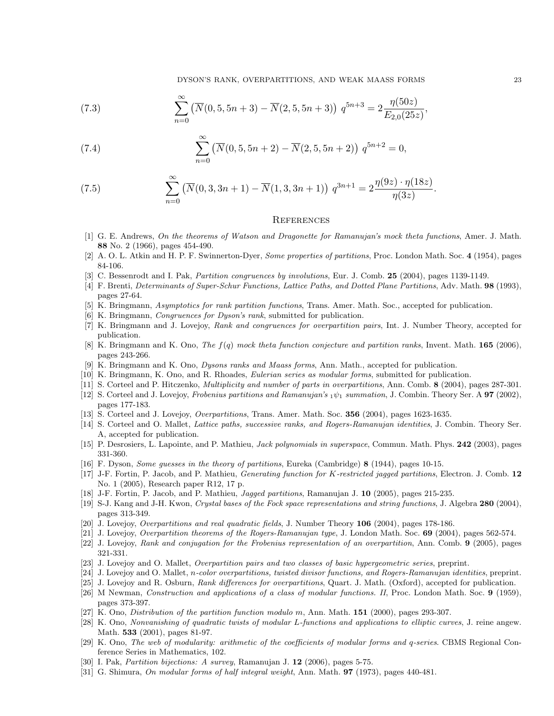DYSON'S RANK, OVERPARTITIONS, AND WEAK MAASS FORMS 23

(7.3) 
$$
\sum_{n=0}^{\infty} \left( \overline{N}(0, 5, 5n+3) - \overline{N}(2, 5, 5n+3) \right) q^{5n+3} = 2 \frac{\eta(50z)}{E_{2,0}(25z)},
$$

(7.4) 
$$
\sum_{n=0}^{\infty} \left( \overline{N}(0, 5, 5n+2) - \overline{N}(2, 5, 5n+2) \right) q^{5n+2} = 0,
$$

(7.5) 
$$
\sum_{n=0}^{\infty} \left( \overline{N}(0,3,3n+1) - \overline{N}(1,3,3n+1) \right) q^{3n+1} = 2 \frac{\eta(9z) \cdot \eta(18z)}{\eta(3z)}.
$$

#### **REFERENCES**

- [1] G. E. Andrews, On the theorems of Watson and Dragonette for Ramanujan's mock theta functions, Amer. J. Math. 88 No. 2 (1966), pages 454-490.
- [2] A. O. L. Atkin and H. P. F. Swinnerton-Dyer, *Some properties of partitions*, Proc. London Math. Soc. 4 (1954), pages 84-106.
- [3] C. Bessenrodt and I. Pak, Partition congruences by involutions, Eur. J. Comb. 25 (2004), pages 1139-1149.
- [4] F. Brenti, Determinants of Super-Schur Functions, Lattice Paths, and Dotted Plane Partitions, Adv. Math. 98 (1993), pages 27-64.
- [5] K. Bringmann, Asymptotics for rank partition functions, Trans. Amer. Math. Soc., accepted for publication.
- [6] K. Bringmann, Congruences for Dyson's rank, submitted for publication.
- [7] K. Bringmann and J. Lovejoy, Rank and congruences for overpartition pairs, Int. J. Number Theory, accepted for publication.
- [8] K. Bringmann and K. Ono, *The*  $f(q)$  mock theta function conjecture and partition ranks, Invent. Math. **165** (2006), pages 243-266.
- [9] K. Bringmann and K. Ono, Dysons ranks and Maass forms, Ann. Math., accepted for publication.
- [10] K. Bringmann, K. Ono, and R. Rhoades, Eulerian series as modular forms, submitted for publication.
- [11] S. Corteel and P. Hitczenko, Multiplicity and number of parts in overpartitions, Ann. Comb. 8 (2004), pages 287-301.
- [12] S. Corteel and J. Lovejoy, Frobenius partitions and Ramanujan's  $_1\psi_1$  summation, J. Combin. Theory Ser. A **97** (2002), pages 177-183.
- [13] S. Corteel and J. Lovejoy, Overpartitions, Trans. Amer. Math. Soc. 356 (2004), pages 1623-1635.
- [14] S. Corteel and O. Mallet, Lattice paths, successive ranks, and Rogers-Ramanujan identities, J. Combin. Theory Ser. A, accepted for publication.
- [15] P. Desrosiers, L. Lapointe, and P. Mathieu, Jack polynomials in superspace, Commun. Math. Phys. 242 (2003), pages 331-360.
- [16] F. Dyson, Some guesses in the theory of partitions, Eureka (Cambridge) 8 (1944), pages 10-15.
- [17] J-F. Fortin, P. Jacob, and P. Mathieu, Generating function for K-restricted jagged partitions, Electron. J. Comb. 12 No. 1 (2005), Research paper R12, 17 p.
- [18] J-F. Fortin, P. Jacob, and P. Mathieu, Jagged partitions, Ramanujan J. 10 (2005), pages 215-235.
- [19] S-J. Kang and J-H. Kwon, Crystal bases of the Fock space representations and string functions, J. Algebra 280 (2004), pages 313-349.
- [20] J. Lovejoy, Overpartitions and real quadratic fields, J. Number Theory 106 (2004), pages 178-186.
- [21] J. Lovejoy, Overpartition theorems of the Rogers-Ramanujan type, J. London Math. Soc. 69 (2004), pages 562-574.
- [22] J. Lovejoy, Rank and conjugation for the Frobenius representation of an overpartition, Ann. Comb. 9 (2005), pages 321-331.
- [23] J. Lovejoy and O. Mallet, Overpartition pairs and two classes of basic hypergeometric series, preprint.
- [24] J. Lovejoy and O. Mallet, n-color overpartitions, twisted divisor functions, and Rogers-Ramanujan identities, preprint.
- [25] J. Lovejoy and R. Osburn, Rank differences for overpartitions, Quart. J. Math. (Oxford), accepted for publication.
- [26] M Newman, Construction and applications of a class of modular functions. II, Proc. London Math. Soc. 9 (1959), pages 373-397.
- [27] K. Ono, Distribution of the partition function modulo m, Ann. Math. 151 (2000), pages 293-307.
- [28] K. Ono, Nonvanishing of quadratic twists of modular L-functions and applications to elliptic curves, J. reine angew. Math. 533 (2001), pages 81-97.
- [29] K. Ono, The web of modularity: arithmetic of the coefficients of modular forms and q-series. CBMS Regional Conference Series in Mathematics, 102.
- [30] I. Pak, Partition bijections: A survey, Ramanujan J. 12 (2006), pages 5-75.
- [31] G. Shimura, On modular forms of half integral weight, Ann. Math. **97** (1973), pages 440-481.